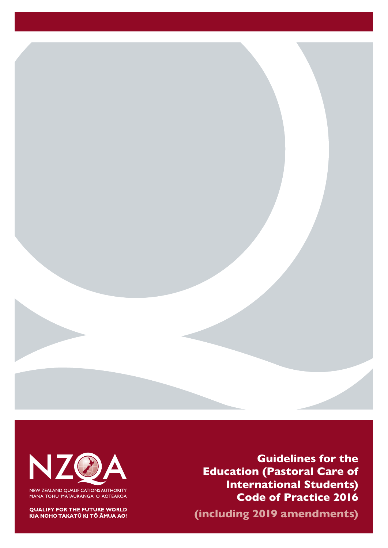



NEW ZEALAND QUALIFICATIONS AUTHORITY<br>MANA TOHU MĀTAURANGA O AOTEAROA

**QUALIFY FOR THE FUTURE WORLD** KIA NOHO TAKATŪ KI TŌ ĀMUA AO!

**Guidelines for the Education (Pastoral Care of International Students) Code of Practice 2016 (including 2019 amendments)**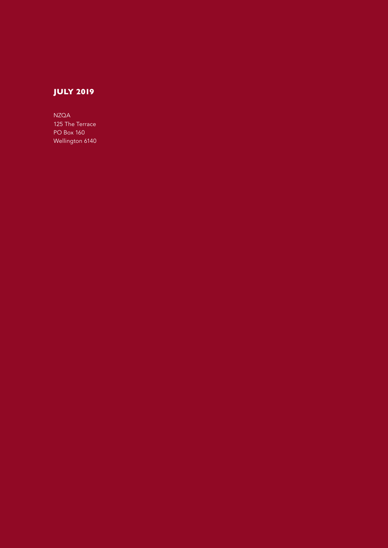## **JULY 2019**

NZQA 125 The Terrace PO Box 160 Wellington 6140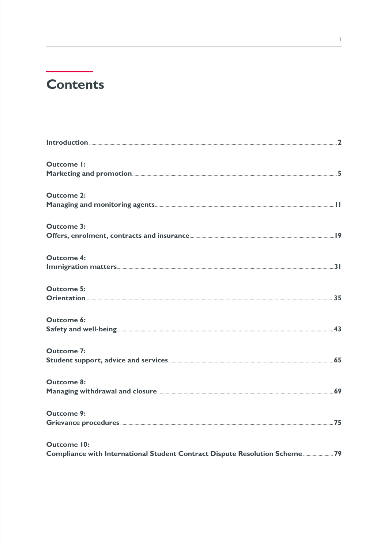# **Contents**

| <b>Outcome I:</b>                                                          |  |
|----------------------------------------------------------------------------|--|
|                                                                            |  |
| <b>Outcome 2:</b>                                                          |  |
|                                                                            |  |
| <b>Outcome 3:</b>                                                          |  |
|                                                                            |  |
| <b>Outcome 4:</b>                                                          |  |
|                                                                            |  |
| <b>Outcome 5:</b>                                                          |  |
|                                                                            |  |
| <b>Outcome 6:</b>                                                          |  |
|                                                                            |  |
| <b>Outcome 7:</b>                                                          |  |
|                                                                            |  |
| <b>Outcome 8:</b>                                                          |  |
|                                                                            |  |
| <b>Outcome 9:</b>                                                          |  |
|                                                                            |  |
| <b>Outcome 10:</b>                                                         |  |
| Compliance with International Student Contract Dispute Resolution Scheme79 |  |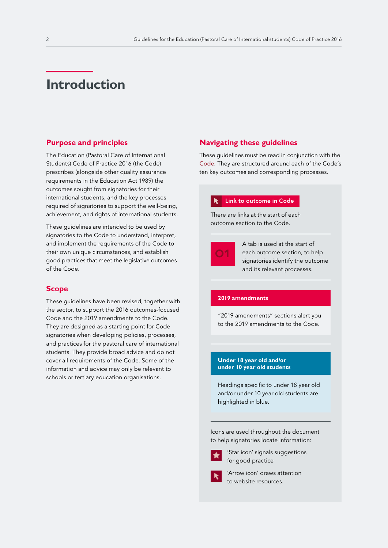## <span id="page-3-0"></span>**Introduction**

#### **Purpose and principles**

The Education (Pastoral Care of International Students) Code of Practice 2016 (the Code) prescribes (alongside other quality assurance requirements in the Education Act 1989) the outcomes sought from signatories for their international students, and the key processes required of signatories to support the well-being, achievement, and rights of international students.

These guidelines are intended to be used by signatories to the Code to understand, interpret, and implement the requirements of the Code to their own unique circumstances, and establish good practices that meet the legislative outcomes of the Code.

#### **Scope**

These guidelines have been revised, together with the sector, to support the 2016 outcomes-focused Code and the 2019 amendments to the Code. They are designed as a starting point for Code signatories when developing policies, processes, and practices for the pastoral care of international students. They provide broad advice and do not cover all requirements of the Code. Some of the information and advice may only be relevant to schools or tertiary education organisations.

### **Navigating these guidelines**

These guidelines must be read in conjunction with the [Code](https://www.nzqa.govt.nz/assets/Providers-and-partners/Code-of-Practice/Code-of-Practice-Amendments-2019.pdf). They are structured around each of the Code's ten key outcomes and corresponding processes.

#### Link to outcome in Code

There are links at the start of each outcome section to the Code.



A tab is used at the start of each outcome section, to help signatories identify the outcome and its relevant processes.

#### **2019 amendments**

"2019 amendments" sections alert you to the 2019 amendments to the Code.

#### **Under 18 year old and/or under 10 year old students**

Headings specific to under 18 year old and/or under 10 year old students are highlighted in blue.

Icons are used throughout the document to help signatories locate information:



'Star icon' signals suggestions for good practice



'Arrow icon' draws attention to website resources.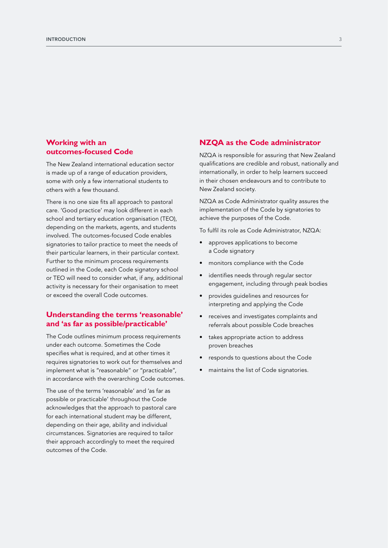### **Working with an outcomes-focused Code**

The New Zealand international education sector is made up of a range of education providers, some with only a few international students to others with a few thousand.

There is no one size fits all approach to pastoral care. 'Good practice' may look different in each school and tertiary education organisation (TEO), depending on the markets, agents, and students involved. The outcomes-focused Code enables signatories to tailor practice to meet the needs of their particular learners, in their particular context. Further to the minimum process requirements outlined in the Code, each Code signatory school or TEO will need to consider what, if any, additional activity is necessary for their organisation to meet or exceed the overall Code outcomes.

### **Understanding the terms 'reasonable' and 'as far as possible/practicable'**

The Code outlines minimum process requirements under each outcome. Sometimes the Code specifies what is required, and at other times it requires signatories to work out for themselves and implement what is "reasonable" or "practicable", in accordance with the overarching Code outcomes.

The use of the terms 'reasonable' and 'as far as possible or practicable' throughout the Code acknowledges that the approach to pastoral care for each international student may be different, depending on their age, ability and individual circumstances. Signatories are required to tailor their approach accordingly to meet the required outcomes of the Code.

#### **NZQA as the Code administrator**

NZQA is responsible for assuring that New Zealand qualifications are credible and robust, nationally and internationally, in order to help learners succeed in their chosen endeavours and to contribute to New Zealand society.

NZQA as Code Administrator quality assures the implementation of the Code by signatories to achieve the purposes of the Code.

To fulfil its role as Code Administrator, NZQA:

- approves applications to become a Code signatory
- monitors compliance with the Code
- identifies needs through regular sector engagement, including through peak bodies
- provides guidelines and resources for interpreting and applying the Code
- receives and investigates complaints and referrals about possible Code breaches
- takes appropriate action to address proven breaches
- responds to questions about the Code
- maintains the list of Code signatories.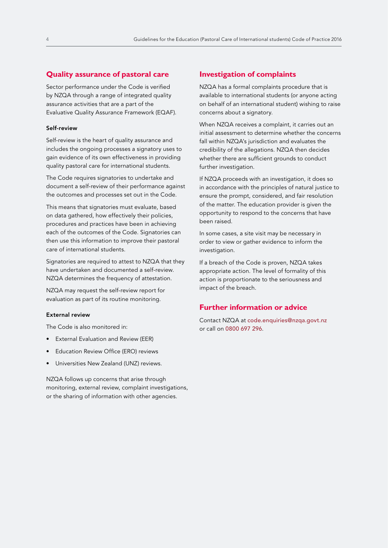#### **Quality assurance of pastoral care**

Sector performance under the Code is verified by NZQA through a range of integrated quality assurance activities that are a part of the Evaluative Quality Assurance Framework (EQAF).

#### Self-review

Self-review is the heart of quality assurance and includes the ongoing processes a signatory uses to gain evidence of its own effectiveness in providing quality pastoral care for international students.

The Code requires signatories to undertake and document a self-review of their performance against the outcomes and processes set out in the Code.

This means that signatories must evaluate, based on data gathered, how effectively their policies, procedures and practices have been in achieving each of the outcomes of the Code. Signatories can then use this information to improve their pastoral care of international students.

Signatories are required to attest to NZQA that they have undertaken and documented a self-review. NZQA determines the frequency of attestation.

NZQA may request the self-review report for evaluation as part of its routine monitoring.

#### External review

The Code is also monitored in:

- External Evaluation and Review (EER)
- Education Review Office (ERO) reviews
- Universities New Zealand (UNZ) reviews.

NZQA follows up concerns that arise through monitoring, external review, complaint investigations, or the sharing of information with other agencies.

#### **Investigation of complaints**

NZQA has a formal complaints procedure that is available to international students (or anyone acting on behalf of an international student) wishing to raise concerns about a signatory.

When NZQA receives a complaint, it carries out an initial assessment to determine whether the concerns fall within NZQA's jurisdiction and evaluates the credibility of the allegations. NZQA then decides whether there are sufficient grounds to conduct further investigation.

If NZQA proceeds with an investigation, it does so in accordance with the principles of natural justice to ensure the prompt, considered, and fair resolution of the matter. The education provider is given the opportunity to respond to the concerns that have been raised.

In some cases, a site visit may be necessary in order to view or gather evidence to inform the investigation.

If a breach of the Code is proven, NZQA takes appropriate action. The level of formality of this action is proportionate to the seriousness and impact of the breach.

#### **Further information or advice**

Contact NZQA at [code.enquiries@nzqa.govt.nz](mailto:code.enquiries%40nzqa.govt.nz?subject=)  or call on 0800 697 296.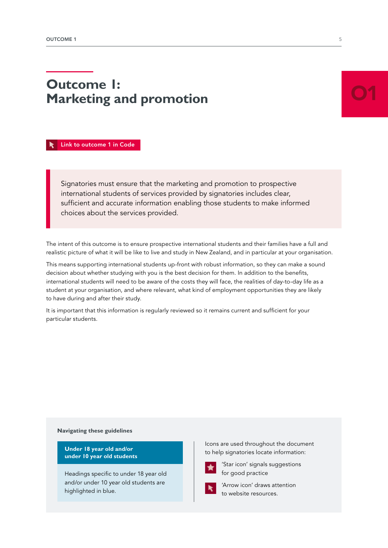# <span id="page-6-0"></span>**Outcome 1: Marketing and promotion**

O1

 [Link to outcome 1 in Code](https://www.nzqa.govt.nz/assets/Providers-and-partners/Code-of-Practice/Code-of-Practice-Amendments-2019.pdf#page=9)

Signatories must ensure that the marketing and promotion to prospective international students of services provided by signatories includes clear, sufficient and accurate information enabling those students to make informed choices about the services provided.

The intent of this outcome is to ensure prospective international students and their families have a full and realistic picture of what it will be like to live and study in New Zealand, and in particular at your organisation.

This means supporting international students up-front with robust information, so they can make a sound decision about whether studying with you is the best decision for them. In addition to the benefits, international students will need to be aware of the costs they will face, the realities of day-to-day life as a student at your organisation, and where relevant, what kind of employment opportunities they are likely to have during and after their study.

It is important that this information is regularly reviewed so it remains current and sufficient for your particular students.

#### **Navigating these guidelines**

**Under 18 year old and/or under 10 year old students** 

Headings specific to under 18 year old and/or under 10 year old students are highlighted in blue.

Icons are used throughout the document to help signatories locate information:



'Star icon' signals suggestions for good practice



'Arrow icon' draws attention to website resources.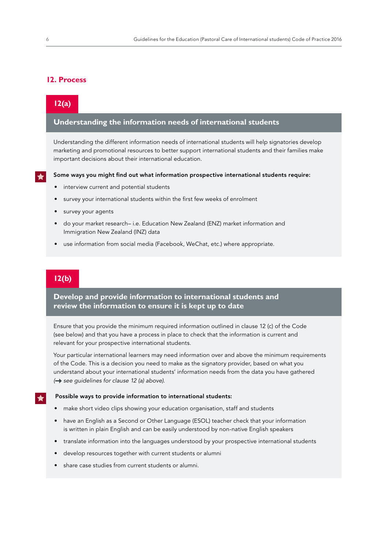### **12. Process**

### **12(a)**

### **Understanding the information needs of international students**

Understanding the different information needs of international students will help signatories develop marketing and promotional resources to better support international students and their families make important decisions about their international education.

#### Some ways you might find out what information prospective international students require:

- interview current and potential students
- survey your international students within the first few weeks of enrolment
- survey your agents
- do your market research– i.e. Education New Zealand (ENZ) market information and Immigration New Zealand (INZ) data
- use information from social media (Facebook, WeChat, etc.) where appropriate.

### **12(b)**

**Develop and provide information to international students and review the information to ensure it is kept up to date** 

Ensure that you provide the minimum required information outlined in clause 12 (c) of the Code (see below) and that you have a process in place to check that the information is current and relevant for your prospective international students.

Your particular international learners may need information over and above the minimum requirements of the Code. This is a decision you need to make as the signatory provider, based on what you understand about your international students' information needs from the data you have gathered *( see guidelines for clause 12 (a) above)*.

#### Possible ways to provide information to international students:

- make short video clips showing your education organisation, staff and students
- have an English as a Second or Other Language (ESOL) teacher check that your information is written in plain English and can be easily understood by non-native English speakers
- translate information into the languages understood by your prospective international students
- develop resources together with current students or alumni
- share case studies from current students or alumni.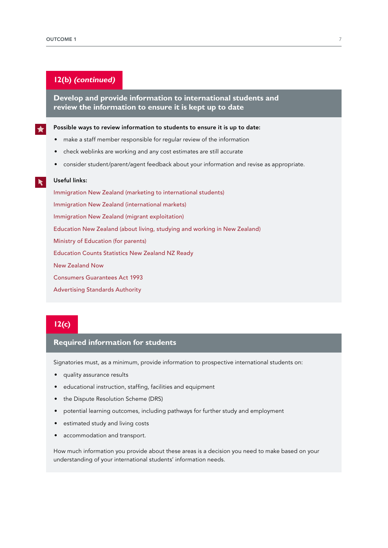### **12(b) (continued)**

**Develop and provide information to international students and review the information to ensure it is kept up to date**

Possible ways to review information to students to ensure it is up to date:

- make a staff member responsible for regular review of the information
- check weblinks are working and any cost estimates are still accurate
- consider student/parent/agent feedback about your information and revise as appropriate.

#### Useful links:

Immigration New [Zealand \(marketing to international students\)](https://www.immigration.govt.nz/assist-migrants-and-students/assist-students/education-in-nz/marketing-to-international-students) Immigration New [Zealand \(international markets\)](https://www.immigration.govt.nz/assist-migrants-and-students/assist-students/international-markets) [Immigration New](https://www.immigration.govt.nz/about-us/policy-and-law/integrity-of-the-immigration-system/migrant-exploitation) Zealand (migrant exploitation) [Education New](https://www.studyinnewzealand.govt.nz/?_ga=2.32840638.1018060396.1563482367-1854733256.1552271304) Zealand (about living, studying and working in New Zealand) [Ministry of Education](https://parents.education.govt.nz/) (for parents) [Education Counts](https://www.educationcounts.govt.nz/statistics/international-education) [Statistics New](http://archive.stats.govt.nz/browse_for_stats/education_and_training.aspx) Zealand [NZ Ready](https://nzready.immigration.govt.nz/) New [Zealand Now](https://www.newzealandnow.govt.nz/studying-in-nz) [Consumers Guarantees Act 1993](http://www.legislation.govt.nz/act/public/1993/0091/24.0/DLM311053.html) [Advertising Standards Authority](https://www.asa.co.nz/)

### **12(c)**

#### **Required information for students**

Signatories must, as a minimum, provide information to prospective international students on:

- quality assurance results
- educational instruction, staffing, facilities and equipment
- the Dispute Resolution Scheme (DRS)
- potential learning outcomes, including pathways for further study and employment
- estimated study and living costs
- accommodation and transport.

How much information you provide about these areas is a decision you need to make based on your understanding of your international students' information needs.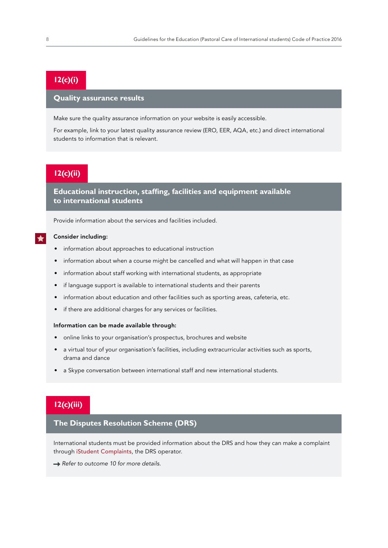### **12(c)(i)**

### **Quality assurance results**

Make sure the quality assurance information on your website is easily accessible.

For example, link to your latest quality assurance review (ERO, EER, AQA, etc.) and direct international students to information that is relevant.

### **12(c)(ii)**

**Educational instruction, staffing, facilities and equipment available to international students** 

Provide information about the services and facilities included.

#### Consider including:

- information about approaches to educational instruction
- information about when a course might be cancelled and what will happen in that case
- information about staff working with international students, as appropriate
- if language support is available to international students and their parents
- information about education and other facilities such as sporting areas, cafeteria, etc.
- if there are additional charges for any services or facilities.

#### Information can be made available through:

- online links to your organisation's prospectus, brochures and website
- a virtual tour of your organisation's facilities, including extracurricular activities such as sports, drama and dance
- a Skype conversation between international staff and new international students.

### **12(c)(iii)**

#### **The Disputes Resolution Scheme (DRS)**

International students must be provided information about the DRS and how they can make a complaint through [iStudent Complaints](https://www.fairwayresolution.com/istudent-complaints), the DRS operator.

**→ Refer to outcome 10 for more details.**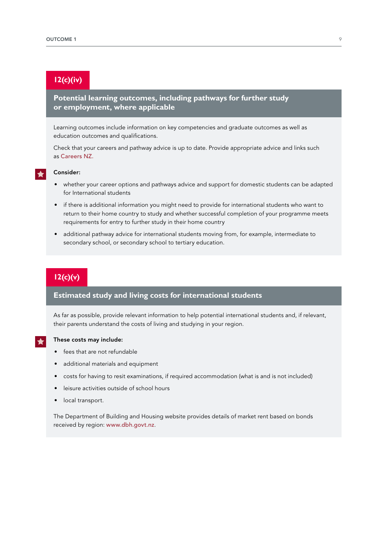### **12(c)(iv)**

### **Potential learning outcomes, including pathways for further study or employment, where applicable**

Learning outcomes include information on key competencies and graduate outcomes as well as education outcomes and qualifications.

Check that your careers and pathway advice is up to date. Provide appropriate advice and links such as [Careers NZ.](https://www.careers.govt.nz/)

### Consider:

- whether your career options and pathways advice and support for domestic students can be adapted for International students
- if there is additional information you might need to provide for international students who want to return to their home country to study and whether successful completion of your programme meets requirements for entry to further study in their home country
- additional pathway advice for international students moving from, for example, intermediate to secondary school, or secondary school to tertiary education.

## **12(c)(v)**

### **Estimated study and living costs for international students**

As far as possible, provide relevant information to help potential international students and, if relevant, their parents understand the costs of living and studying in your region.

### These costs may include:

- fees that are not refundable
- additional materials and equipment
- costs for having to resit examinations, if required accommodation (what is and is not included)
- leisure activities outside of school hours
- local transport.

The Department of Building and Housing website provides details of market rent based on bonds received by region: [www.dbh.govt.nz](http://www.dbh.govt.nz/).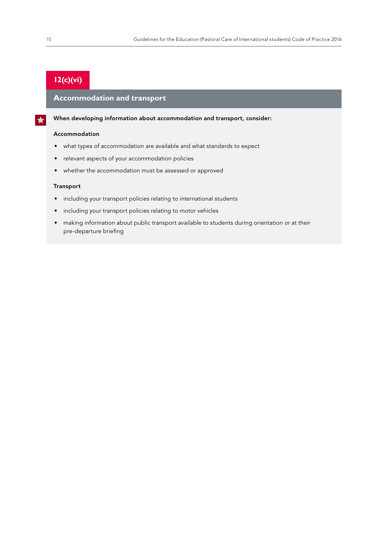## **12(c)(vi)**

### **Accommodation and transport**

When developing information about accommodation and transport, consider:

#### Accommodation

- what types of accommodation are available and what standards to expect
- relevant aspects of your accommodation policies
- whether the accommodation must be assessed or approved

#### Transport

- including your transport policies relating to international students
- including your transport policies relating to motor vehicles
- making information about public transport available to students during orientation or at their pre-departure briefing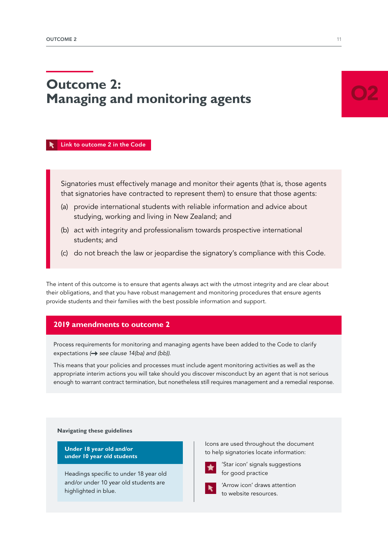# <span id="page-12-0"></span>**Outcome 2: Managing and monitoring agents**

 [Link to outcome 2 in the Code](https://www.nzqa.govt.nz/assets/Providers-and-partners/Code-of-Practice/Code-of-Practice-Amendments-2019.pdf#page=9)

Signatories must effectively manage and monitor their agents (that is, those agents that signatories have contracted to represent them) to ensure that those agents:

- (a) provide international students with reliable information and advice about studying, working and living in New Zealand; and
- (b) act with integrity and professionalism towards prospective international students; and
- (c) do not breach the law or jeopardise the signatory's compliance with this Code.

The intent of this outcome is to ensure that agents always act with the utmost integrity and are clear about their obligations, and that you have robust management and monitoring procedures that ensure agents provide students and their families with the best possible information and support.

### **2019 amendments to outcome 2**

Process requirements for monitoring and managing agents have been added to the Code to clarify expectations ( $\rightarrow$  see clause 14(ba) and (bb)).

This means that your policies and processes must include agent monitoring activities as well as the appropriate interim actions you will take should you discover misconduct by an agent that is not serious enough to warrant contract termination, but nonetheless still requires management and a remedial response.

**Navigating these guidelines**

**Under 18 year old and/or under 10 year old students** 

Headings specific to under 18 year old and/or under 10 year old students are highlighted in blue.

Icons are used throughout the document to help signatories locate information:



'Star icon' signals suggestions for good practice



'Arrow icon' draws attention to website resources.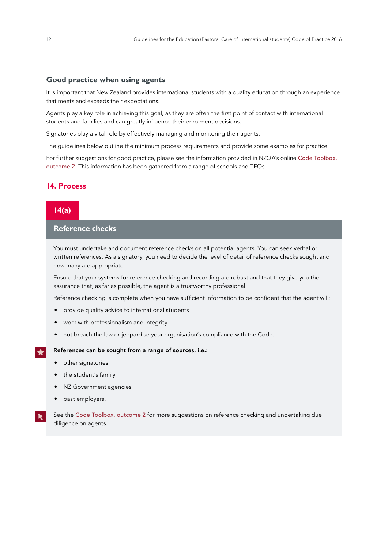#### **Good practice when using agents**

It is important that New Zealand provides international students with a quality education through an experience that meets and exceeds their expectations.

Agents play a key role in achieving this goal, as they are often the first point of contact with international students and families and can greatly influence their enrolment decisions.

Signatories play a vital role by effectively managing and monitoring their agents.

The guidelines below outline the minimum process requirements and provide some examples for practice.

For further suggestions for good practice, please see the information provided in NZQA's online [Code Toolbox,](https://www.nzqa.govt.nz/providers-partners/education-code-of-practice/code-of-practice-toolbox/outcome-2-managing-agents/)  [outcome 2](https://www.nzqa.govt.nz/providers-partners/education-code-of-practice/code-of-practice-toolbox/outcome-2-managing-agents/). This information has been gathered from a range of schools and TEOs.

#### **14. Process**



### **Reference checks**

You must undertake and document reference checks on all potential agents. You can seek verbal or written references. As a signatory, you need to decide the level of detail of reference checks sought and how many are appropriate.

Ensure that your systems for reference checking and recording are robust and that they give you the assurance that, as far as possible, the agent is a trustworthy professional.

Reference checking is complete when you have sufficient information to be confident that the agent will:

- provide quality advice to international students
- work with professionalism and integrity
- not breach the law or jeopardise your organisation's compliance with the Code.

#### References can be sought from a range of sources, i.e.:

- other signatories
- the student's family
- NZ Government agencies
- past employers.

See the [Code Toolbox, outcome 2](https://www.nzqa.govt.nz/providers-partners/education-code-of-practice/code-of-practice-toolbox/outcome-2-managing-agents/) for more suggestions on reference checking and undertaking due diligence on agents.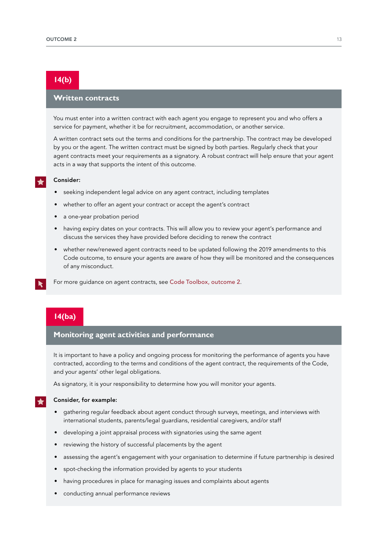### **14(b)**

### **Written contracts**

You must enter into a written contract with each agent you engage to represent you and who offers a service for payment, whether it be for recruitment, accommodation, or another service.

A written contract sets out the terms and conditions for the partnership. The contract may be developed by you or the agent. The written contract must be signed by both parties. Regularly check that your agent contracts meet your requirements as a signatory. A robust contract will help ensure that your agent acts in a way that supports the intent of this outcome.

#### Consider:

- seeking independent legal advice on any agent contract, including templates
- whether to offer an agent your contract or accept the agent's contract
- a one-year probation period
- having expiry dates on your contracts. This will allow you to review your agent's performance and discuss the services they have provided before deciding to renew the contract
- whether new/renewed agent contracts need to be updated following the 2019 amendments to this Code outcome, to ensure your agents are aware of how they will be monitored and the consequences of any misconduct.
- For more guidance on agent contracts, see [Code Toolbox, outcome 2](https://www.nzqa.govt.nz/providers-partners/education-code-of-practice/code-of-practice-toolbox/outcome-2-managing-agents/).

### **14(ba)**

### **Monitoring agent activities and performance**

It is important to have a policy and ongoing process for monitoring the performance of agents you have contracted, according to the terms and conditions of the agent contract, the requirements of the Code, and your agents' other legal obligations.

As signatory, it is your responsibility to determine how you will monitor your agents.

#### Consider, for example:

- gathering regular feedback about agent conduct through surveys, meetings, and interviews with international students, parents/legal guardians, residential caregivers, and/or staff
- developing a joint appraisal process with signatories using the same agent
- reviewing the history of successful placements by the agent
- assessing the agent's engagement with your organisation to determine if future partnership is desired
- spot-checking the information provided by agents to your students
- having procedures in place for managing issues and complaints about agents
- conducting annual performance reviews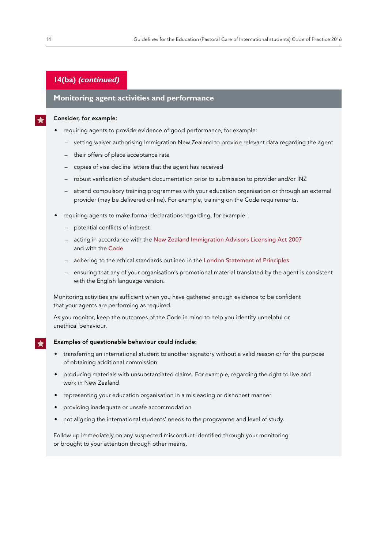### **14(ba) (continued)**

### **Monitoring agent activities and performance**

#### Consider, for example:

- requiring agents to provide evidence of good performance, for example:
	- vetting waiver authorising Immigration New Zealand to provide relevant data regarding the agent
	- their offers of place acceptance rate
	- copies of visa decline letters that the agent has received
	- robust verification of student documentation prior to submission to provider and/or INZ
	- attend compulsory training programmes with your education organisation or through an external provider (may be delivered online). For example, training on the Code requirements.
- requiring agents to make formal declarations regarding, for example:
	- potential conflicts of interest
	- acting in accordance with the New [Zealand Immigration Advisors Licensing Act 2007](http://www.legislation.govt.nz/act/public/2007/0015/latest/DLM406945.html) and with the [Code](https://www.nzqa.govt.nz/providers-partners/education-code-of-practice/)
	- adhering to the ethical standards outlined in the [London Statement of Principles](https://enz.govt.nz/assets/Uploads/ENZ-Agents-London-Statement.pdf)
	- ensuring that any of your organisation's promotional material translated by the agent is consistent with the English language version.

Monitoring activities are sufficient when you have gathered enough evidence to be confident that your agents are performing as required.

As you monitor, keep the outcomes of the Code in mind to help you identify unhelpful or unethical behaviour.

#### Examples of questionable behaviour could include:

- transferring an international student to another signatory without a valid reason or for the purpose of obtaining additional commission
- producing materials with unsubstantiated claims. For example, regarding the right to live and work in New Zealand
- representing your education organisation in a misleading or dishonest manner
- providing inadequate or unsafe accommodation
- not aligning the international students' needs to the programme and level of study.

Follow up immediately on any suspected misconduct identified through your monitoring or brought to your attention through other means.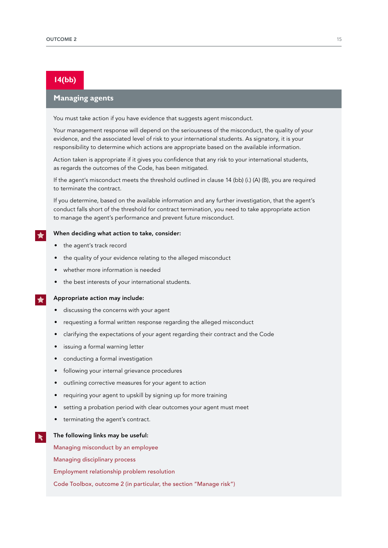### **14(bb)**

### **Managing agents**

You must take action if you have evidence that suggests agent misconduct.

Your management response will depend on the seriousness of the misconduct, the quality of your evidence, and the associated level of risk to your international students. As signatory, it is your responsibility to determine which actions are appropriate based on the available information.

Action taken is appropriate if it gives you confidence that any risk to your international students, as regards the outcomes of the Code, has been mitigated.

If the agent's misconduct meets the threshold outlined in clause 14 (bb) (i.) (A) (B), you are required to terminate the contract.

If you determine, based on the available information and any further investigation, that the agent's conduct falls short of the threshold for contract termination, you need to take appropriate action to manage the agent's performance and prevent future misconduct.

#### When deciding what action to take, consider:

- the agent's track record
- the quality of your evidence relating to the alleged misconduct
- whether more information is needed
- the best interests of your international students.

#### Appropriate action may include:

- discussing the concerns with your agent
- requesting a formal written response regarding the alleged misconduct
- clarifying the expectations of your agent regarding their contract and the Code
- issuing a formal warning letter
- conducting a formal investigation
- following your internal grievance procedures
- outlining corrective measures for your agent to action
- requiring your agent to upskill by signing up for more training
- setting a probation period with clear outcomes your agent must meet
- terminating the agent's contract.

#### The following links may be useful:

 $\blacktriangleright$ 

[Managing misconduct by an employee](https://www.business.govt.nz/hiring-and-managing/managing-people-day-to-day/managing-misconduct/)

[Managing disciplinary process](https://www.employment.govt.nz/resolving-problems/steps-to-resolve/disciplinary-action/disciplinary-process/)

[Employment relationship problem resolution](http://www.education.govt.nz/school/people-and-employment/employment-agreements/individual-employment-agreements/employment-relationship-problem-resolution/)

[Code Toolbox, outcome 2 \(in particular, the section "Manage risk"\)](https://www.nzqa.govt.nz/providers-partners/education-code-of-practice/code-of-practice-toolbox/outcome-2-managing-agents/)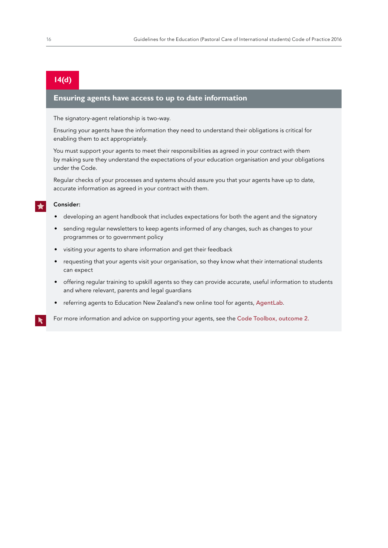### **14(d)**

#### **Ensuring agents have access to up to date information**

The signatory-agent relationship is two-way.

Ensuring your agents have the information they need to understand their obligations is critical for enabling them to act appropriately.

You must support your agents to meet their responsibilities as agreed in your contract with them by making sure they understand the expectations of your education organisation and your obligations under the Code.

Regular checks of your processes and systems should assure you that your agents have up to date, accurate information as agreed in your contract with them.

#### Consider:

- developing an agent handbook that includes expectations for both the agent and the signatory
- sending regular newsletters to keep agents informed of any changes, such as changes to your programmes or to government policy
- visiting your agents to share information and get their feedback
- requesting that your agents visit your organisation, so they know what their international students can expect
- offering regular training to upskill agents so they can provide accurate, useful information to students and where relevant, parents and legal guardians
- referring agents to Education New Zealand's new online tool for agents, [AgentLab](https://enz.govt.nz/support/agent-engagement/agentlab/).

For more information and advice on supporting your agents, see the [Code Toolbox, outcome 2.](https://www.nzqa.govt.nz/providers-partners/education-code-of-practice/code-of-practice-toolbox/outcome-2-managing-agents/)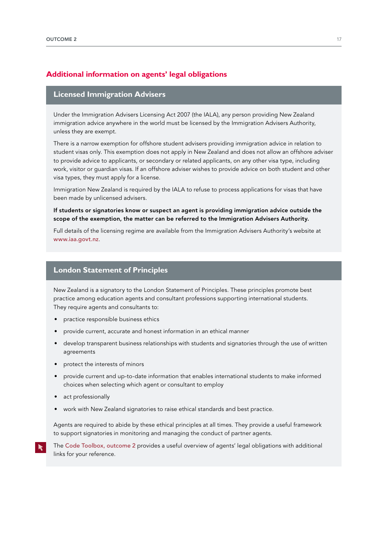### **Additional information on agents' legal obligations**

#### **Licensed Immigration Advisers**

Under the Immigration Advisers Licensing Act 2007 (the IALA), any person providing New Zealand immigration advice anywhere in the world must be licensed by the Immigration Advisers Authority, unless they are exempt.

There is a narrow exemption for offshore student advisers providing immigration advice in relation to student visas only. This exemption does not apply in New Zealand and does not allow an offshore adviser to provide advice to applicants, or secondary or related applicants, on any other visa type, including work, visitor or guardian visas. If an offshore adviser wishes to provide advice on both student and other visa types, they must apply for a license.

Immigration New Zealand is required by the IALA to refuse to process applications for visas that have been made by unlicensed advisers.

#### If students or signatories know or suspect an agent is providing immigration advice outside the scope of the exemption, the matter can be referred to the Immigration Advisers Authority.

Full details of the licensing regime are available from the Immigration Advisers Authority's website at [www.iaa.govt.nz](http://www.iaa.govt.nz/).

#### **London Statement of Principles**

New Zealand is a signatory to the London Statement of Principles. These principles promote best practice among education agents and consultant professions supporting international students. They require agents and consultants to:

- practice responsible business ethics
- provide current, accurate and honest information in an ethical manner
- develop transparent business relationships with students and signatories through the use of written agreements
- protect the interests of minors
- provide current and up-to-date information that enables international students to make informed choices when selecting which agent or consultant to employ
- act professionally
- work with New Zealand signatories to raise ethical standards and best practice.

Agents are required to abide by these ethical principles at all times. They provide a useful framework to support signatories in monitoring and managing the conduct of partner agents.

The [Code Toolbox, outcome 2](https://www.nzqa.govt.nz/providers-partners/education-code-of-practice/code-of-practice-toolbox/outcome-2-managing-agents/) provides a useful overview of agents' legal obligations with additional links for your reference.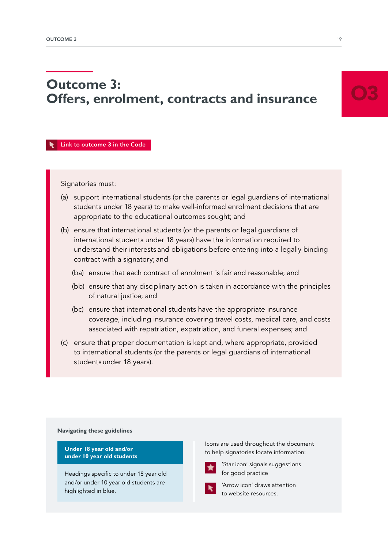# <span id="page-20-0"></span>**Outcome 3: Offers, enrolment, contracts and insurance**

#### [Link to outcome 3 in the Code](https://www.nzqa.govt.nz/assets/Providers-and-partners/Code-of-Practice/Code-of-Practice-Amendments-2019.pdf#page=10)

#### Signatories must:

- (a) support international students (or the parents or legal guardians of international students under 18 years) to make well-informed enrolment decisions that are appropriate to the educational outcomes sought; and
- (b) ensure that international students (or the parents or legal guardians of international students under 18 years) have the information required to understand their interests and obligations before entering into a legally binding contract with a signatory; and
	- (ba) ensure that each contract of enrolment is fair and reasonable; and
	- (bb) ensure that any disciplinary action is taken in accordance with the principles of natural justice; and
	- (bc) ensure that international students have the appropriate insurance coverage, including insurance covering travel costs, medical care, and costs associated with repatriation, expatriation, and funeral expenses; and
- (c) ensure that proper documentation is kept and, where appropriate, provided to international students (or the parents or legal guardians of international students under 18 years).

#### **Navigating these guidelines**

**Under 18 year old and/or under 10 year old students** 

Headings specific to under 18 year old and/or under 10 year old students are highlighted in blue.

Icons are used throughout the document to help signatories locate information:



'Star icon' signals suggestions for good practice



'Arrow icon' draws attention to website resources.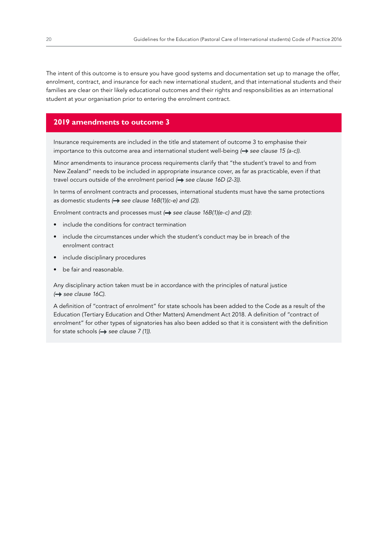The intent of this outcome is to ensure you have good systems and documentation set up to manage the offer, enrolment, contract, and insurance for each new international student, and that international students and their families are clear on their likely educational outcomes and their rights and responsibilities as an international student at your organisation prior to entering the enrolment contract.

#### **2019 amendments to outcome 3**

Insurance requirements are included in the title and statement of outcome 3 to emphasise their importance to this outcome area and international student well-being ( $\rightarrow$  see clause 15 (a-c)).

Minor amendments to insurance process requirements clarify that "the student's travel to and from New Zealand" needs to be included in appropriate insurance cover, as far as practicable, even if that travel occurs outside of the enrolment period (**+>** see clause 16D (2-3)).

In terms of enrolment contracts and processes, international students must have the same protections as domestic students  $\leftrightarrow$  see clause 16B(1)(c-e) and (2)).

Enrolment contracts and processes must ( $\rightarrow$  see clause 16B(1)(e-c) and (2)):

- include the conditions for contract termination
- include the circumstances under which the student's conduct may be in breach of the enrolment contract
- include disciplinary procedures
- be fair and reasonable.

Any disciplinary action taken must be in accordance with the principles of natural justice *( see clause 16C)*.

A definition of "contract of enrolment" for state schools has been added to the Code as a result of the Education (Tertiary Education and Other Matters) Amendment Act 2018. A definition of "contract of enrolment" for other types of signatories has also been added so that it is consistent with the definition for state schools ( $\rightarrow$  see clause 7 (1)).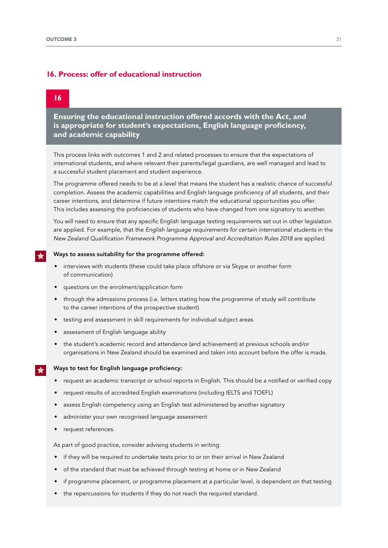### **16. Process: offer of educational instruction**

### **16**

**Ensuring the educational instruction offered accords with the Act, and is appropriate for student's expectations, English language proficiency, and academic capability** 

This process links with outcomes 1 and 2 and related processes to ensure that the expectations of international students, and where relevant their parents/legal guardians, are well managed and lead to a successful student placement and student experience.

The programme offered needs to be at a level that means the student has a realistic chance of successful completion. Assess the academic capabilities and English language proficiency of all students, and their career intentions, and determine if future intentions match the educational opportunities you offer. This includes assessing the proficiencies of students who have changed from one signatory to another.

You will need to ensure that any specific English language testing requirements set out in other legislation are applied. For example, that the *English language requirements for certain international students* in the New Zealand Qualification Framework Programme Approval and Accreditation Rules 2018 are applied.

#### Ways to assess suitability for the programme offered:

- interviews with students (these could take place offshore or via Skype or another form of communication)
- questions on the enrolment/application form
- through the admissions process (i.e. letters stating how the programme of study will contribute to the career intentions of the prospective student)
- testing and assessment in skill requirements for individual subject areas
- assessment of English language ability
- the student's academic record and attendance (and achievement) at previous schools and/or organisations in New Zealand should be examined and taken into account before the offer is made.

#### Ways to test for English language proficiency:

- request an academic transcript or school reports in English. This should be a notified or verified copy
- request results of accredited English examinations (including IELTS and TOEFL)
- assess English competency using an English test administered by another signatory
- administer your own recognised language assessment
- request references.

As part of good practice, consider advising students in writing:

- if they will be required to undertake tests prior to or on their arrival in New Zealand
- of the standard that must be achieved through testing at home or in New Zealand
- if programme placement, or programme placement at a particular level, is dependent on that testing
- the repercussions for students if they do not reach the required standard.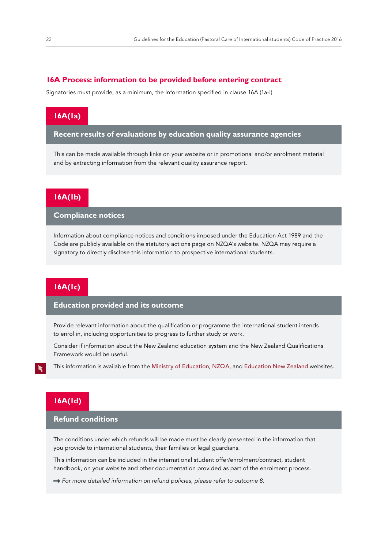#### **16A Process: information to be provided before entering contract**

Signatories must provide, as a minimum, the information specified in clause 16A (1a-i).

### **16A(1a)**

**Recent results of evaluations by education quality assurance agencies**

This can be made available through links on your website or in promotional and/or enrolment material and by extracting information from the relevant quality assurance report.

### **16A(1b)**

**Compliance notices** 

Information about compliance notices and conditions imposed under the Education Act 1989 and the Code are publicly available on the statutory actions page on NZQA's website. NZQA may require a signatory to directly disclose this information to prospective international students.

### **16A(1c)**

### **Education provided and its outcome**

Provide relevant information about the qualification or programme the international student intends to enrol in, including opportunities to progress to further study or work.

Consider if information about the New Zealand education system and the New Zealand Qualifications Framework would be useful.

This information is available from the [Ministry of Education](http://www.education.govt.nz/), [NZQA](http://www.nzqa.govt.nz/), and [Education New](http://www.enz.govt.nz/) Zealand websites.

### **16A(1d)**

### **Refund conditions**

The conditions under which refunds will be made must be clearly presented in the information that you provide to international students, their families or legal guardians.

This information can be included in the international student offer/enrolment/contract, student handbook, on your website and other documentation provided as part of the enrolment process.

 $\rightarrow$  For more detailed information on refund policies, please refer to outcome 8.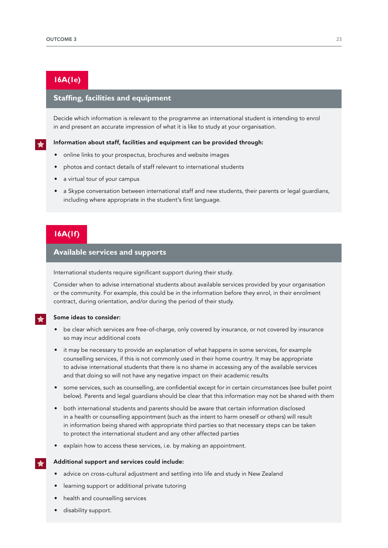### **16A(1e)**

### **Staffing, facilities and equipment**

Decide which information is relevant to the programme an international student is intending to enrol in and present an accurate impression of what it is like to study at your organisation.

#### Information about staff, facilities and equipment can be provided through:

- online links to your prospectus, brochures and website images
- photos and contact details of staff relevant to international students
- a virtual tour of your campus
- a Skype conversation between international staff and new students, their parents or legal guardians, including where appropriate in the student's first language.

### **16A(1f)**

### **Available services and supports**

International students require significant support during their study.

Consider when to advise international students about available services provided by your organisation or the community. For example, this could be in the information before they enrol, in their enrolment contract, during orientation, and/or during the period of their study.

#### Some ideas to consider:

- be clear which services are free-of-charge, only covered by insurance, or not covered by insurance so may incur additional costs
- it may be necessary to provide an explanation of what happens in some services, for example counselling services, if this is not commonly used in their home country. It may be appropriate to advise international students that there is no shame in accessing any of the available services and that doing so will not have any negative impact on their academic results
- some services, such as counselling, are confidential except for in certain circumstances (see bullet point below). Parents and legal guardians should be clear that this information may not be shared with them
- both international students and parents should be aware that certain information disclosed in a health or counselling appointment (such as the intent to harm oneself or others) will result in information being shared with appropriate third parties so that necessary steps can be taken to protect the international student and any other affected parties
- explain how to access these services, i.e. by making an appointment.

#### Additional support and services could include:

- advice on cross-cultural adjustment and settling into life and study in New Zealand
- learning support or additional private tutoring
- health and counselling services
- disability support.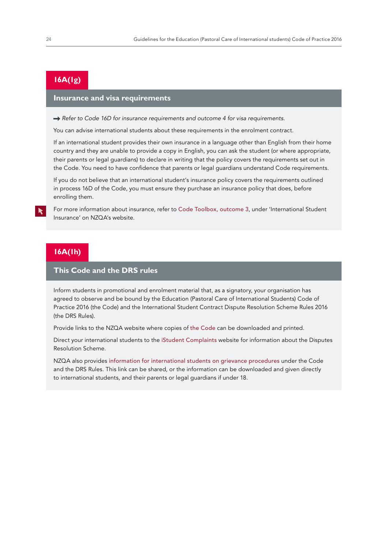## **16A(1g)**

### **Insurance and visa requirements**

→ Refer to Code 16D for insurance requirements and outcome 4 for visa requirements.

You can advise international students about these requirements in the enrolment contract.

If an international student provides their own insurance in a language other than English from their home country and they are unable to provide a copy in English, you can ask the student (or where appropriate, their parents or legal guardians) to declare in writing that the policy covers the requirements set out in the Code. You need to have confidence that parents or legal guardians understand Code requirements.

If you do not believe that an international student's insurance policy covers the requirements outlined in process 16D of the Code, you must ensure they purchase an insurance policy that does, before enrolling them.

For more information about insurance, refer to [Code Toolbox, outcome 3](https://www.nzqa.govt.nz/providers-partners/education-code-of-practice/code-of-practice-toolbox/outcome-3/), under 'International Student Insurance' on NZQA's website.

### **16A(1h)**

### **This Code and the DRS rules**

Inform students in promotional and enrolment material that, as a signatory, your organisation has agreed to observe and be bound by the Education (Pastoral Care of International Students) Code of Practice 2016 (the Code) and the International Student Contract Dispute Resolution Scheme Rules 2016 (the DRS Rules).

Provide links to the NZQA website where copies of [the Code](https://www.nzqa.govt.nz/providers-partners/education-code-of-practice/) can be downloaded and printed.

Direct your international students to the [iStudent Complaints](https://www.istudent.org.nz/) website for information about the Disputes Resolution Scheme.

NZQA also provides [information for international students on grievance procedures](https://www.nzqa.govt.nz/assets/Providers-and-partners/Code-of-Practice/int-students-make-a-complaint-updated.pdf) under the Code and the DRS Rules. This link can be shared, or the information can be downloaded and given directly to international students, and their parents or legal guardians if under 18.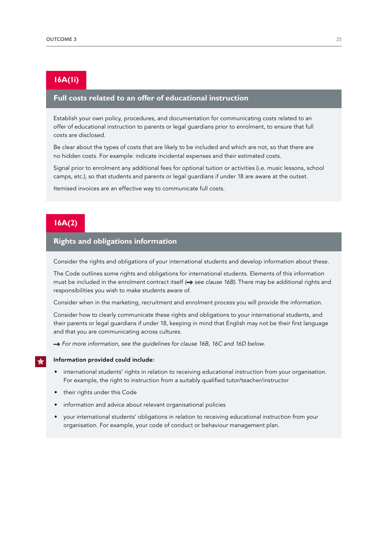### **16A(1i)**

### **Full costs related to an offer of educational instruction**

Establish your own policy, procedures, and documentation for communicating costs related to an offer of educational instruction to parents or legal guardians prior to enrolment, to ensure that full costs are disclosed.

Be clear about the types of costs that are likely to be included and which are not, so that there are no hidden costs. For example: indicate incidental expenses and their estimated costs.

Signal prior to enrolment any additional fees for optional tuition or activities (i.e. music lessons, school camps, etc.), so that students and parents or legal guardians if under 18 are aware at the outset.

Itemised invoices are an effective way to communicate full costs.

### **16A(2)**

### **Rights and obligations information**

Consider the rights and obligations of your international students and develop information about these.

The Code outlines some rights and obligations for international students. Elements of this information must be included in the enrolment contract itself ( $\rightarrow$  see clause 16B). There may be additional rights and responsibilities you wish to make students aware of.

Consider when in the marketing, recruitment and enrolment process you will provide the information.

Consider how to clearly communicate these rights and obligations to your international students, and their parents or legal guardians if under 18, keeping in mind that English may not be their first language and that you are communicating across cultures.

→ For more information, see the guidelines for clause 16B, 16C and 16D below.

#### Information provided could include:

- international students' rights in relation to receiving educational instruction from your organisation. For example, the right to instruction from a suitably qualified tutor/teacher/instructor
- their rights under this Code
- information and advice about relevant organisational policies
- your international students' obligations in relation to receiving educational instruction from your organisation. For example, your code of conduct or behaviour management plan.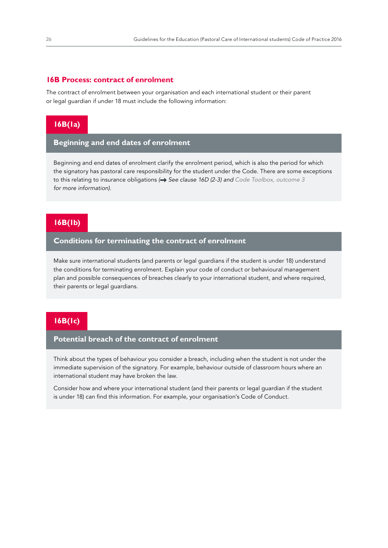#### **16B Process: contract of enrolment**

The contract of enrolment between your organisation and each international student or their parent or legal guardian if under 18 must include the following information:

### **16B(1a)**

### **Beginning and end dates of enrolment**

Beginning and end dates of enrolment clarify the enrolment period, which is also the period for which the signatory has pastoral care responsibility for the student under the Code. There are some exceptions to this relating to insurance obligations  $\leftrightarrow$  See clause 16D (2-3) and Code Toolbox, [outcome](https://www.nzqa.govt.nz/providers-partners/education-code-of-practice/code-of-practice-toolbox/outcome-3/) 3 *for more information)*.

### **16B(1b)**

### **Conditions for terminating the contract of enrolment**

Make sure international students (and parents or legal guardians if the student is under 18) understand the conditions for terminating enrolment. Explain your code of conduct or behavioural management plan and possible consequences of breaches clearly to your international student, and where required, their parents or legal guardians.

### **16B(1c)**

### **Potential breach of the contract of enrolment**

Think about the types of behaviour you consider a breach, including when the student is not under the immediate supervision of the signatory. For example, behaviour outside of classroom hours where an international student may have broken the law.

Consider how and where your international student (and their parents or legal guardian if the student is under 18) can find this information. For example, your organisation's Code of Conduct.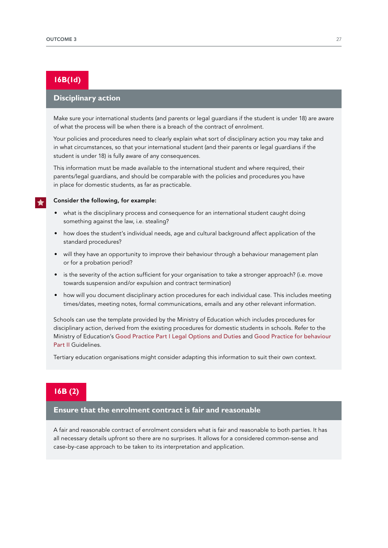## **16B(1d)**

### **Disciplinary action**

Make sure your international students (and parents or legal guardians if the student is under 18) are aware of what the process will be when there is a breach of the contract of enrolment.

Your policies and procedures need to clearly explain what sort of disciplinary action you may take and in what circumstances, so that your international student (and their parents or legal guardians if the student is under 18) is fully aware of any consequences.

This information must be made available to the international student and where required, their parents/legal guardians, and should be comparable with the policies and procedures you have in place for domestic students, as far as practicable.

#### Consider the following, for example:

- what is the disciplinary process and consequence for an international student caught doing something against the law, i.e. stealing?
- how does the student's individual needs, age and cultural background affect application of the standard procedures?
- will they have an opportunity to improve their behaviour through a behaviour management plan or for a probation period?
- is the severity of the action sufficient for your organisation to take a stronger approach? (i.e. move towards suspension and/or expulsion and contract termination)
- how will you document disciplinary action procedures for each individual case. This includes meeting times/dates, meeting notes, formal communications, emails and any other relevant information.

Schools can use the template provided by the Ministry of Education which includes procedures for disciplinary action, derived from the existing procedures for domestic students in schools. Refer to the Ministry of Education's [Good Practice Part I Legal Options and Duties](https://www.education.govt.nz/assets/Documents/School/Managing-and-supporting-students/Stand-downs-suspensions-exclusions-and-expulsions-guidelines/SuspensionLegalGuideWEB.pdf) and [Good Practice for behaviour](http://www.education.govt.nz/assets/Documents/School/Managing-and-supporting-students/Stand-downs-suspensions-exclusions-and-expulsions-guidelines/SuspensionGoodPracticeWEB.pdf)  [Part II](http://www.education.govt.nz/assets/Documents/School/Managing-and-supporting-students/Stand-downs-suspensions-exclusions-and-expulsions-guidelines/SuspensionGoodPracticeWEB.pdf) Guidelines.

Tertiary education organisations might consider adapting this information to suit their own context.

### **16B (2)**

#### **Ensure that the enrolment contract is fair and reasonable**

A fair and reasonable contract of enrolment considers what is fair and reasonable to both parties. It has all necessary details upfront so there are no surprises. It allows for a considered common-sense and case-by-case approach to be taken to its interpretation and application.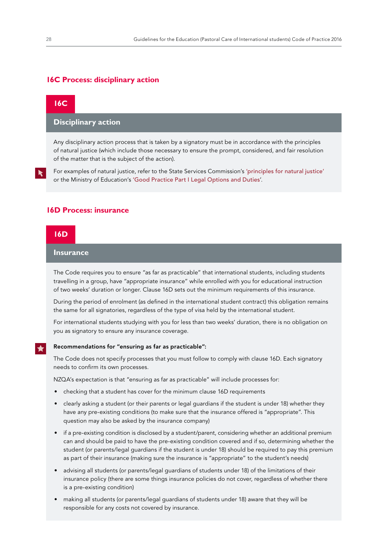#### **16C Process: disciplinary action**

### **16C**

#### **Disciplinary action**

Any disciplinary action process that is taken by a signatory must be in accordance with the principles of natural justice (which include those necessary to ensure the prompt, considered, and fair resolution of the matter that is the subject of the action).

For examples of natural justice, refer to the State Services Commission's ['principles for natural justice'](http://www.ssc.govt.nz/node/7839) or the Ministry of Education's ['Good Practice Part I Legal Options and Duties](https://www.education.govt.nz/assets/Documents/School/Managing-and-supporting-students/Stand-downs-suspensions-exclusions-and-expulsions-guidelines/SuspensionLegalGuideWEB.pdf)'.

#### **16D Process: insurance**

#### **16D**

#### **Insurance**

The Code requires you to ensure "as far as practicable" that international students, including students travelling in a group, have "appropriate insurance" while enrolled with you for educational instruction of two weeks' duration or longer. Clause 16D sets out the minimum requirements of this insurance.

During the period of enrolment (as defined in the international student contract) this obligation remains the same for all signatories, regardless of the type of visa held by the international student.

For international students studying with you for less than two weeks' duration, there is no obligation on you as signatory to ensure any insurance coverage.

#### Recommendations for "ensuring as far as practicable": ╈

The Code does not specify processes that you must follow to comply with clause 16D. Each signatory needs to confirm its own processes.

NZQA's expectation is that "ensuring as far as practicable" will include processes for:

- checking that a student has cover for the minimum clause 16D requirements
- clearly asking a student (or their parents or legal guardians if the student is under 18) whether they have any pre-existing conditions (to make sure that the insurance offered is "appropriate". This question may also be asked by the insurance company)
- if a pre-existing condition is disclosed by a student/parent, considering whether an additional premium can and should be paid to have the pre-existing condition covered and if so, determining whether the student (or parents/legal guardians if the student is under 18) should be required to pay this premium as part of their insurance (making sure the insurance is "appropriate" to the student's needs)
- advising all students (or parents/legal guardians of students under 18) of the limitations of their insurance policy (there are some things insurance policies do not cover, regardless of whether there is a pre-existing condition)
- making all students (or parents/legal guardians of students under 18) aware that they will be responsible for any costs not covered by insurance.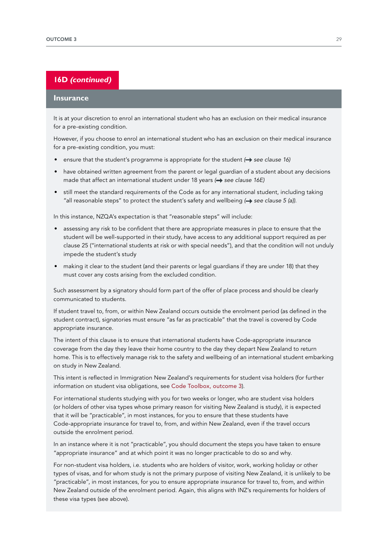### **16D (continued)**

#### **Insurance**

It is at your discretion to enrol an international student who has an exclusion on their medical insurance for a pre-existing condition.

However, if you choose to enrol an international student who has an exclusion on their medical insurance for a pre-existing condition, you must:

- ensure that the student's programme is appropriate for the student (**+**) see clause 16)
- have obtained written agreement from the parent or legal guardian of a student about any decisions made that affect an international student under 18 years (**+>** see clause 16E)
- still meet the standard requirements of the Code as for any international student, including taking "all reasonable steps" to protect the student's safety and wellbeing (+ see clause 5 (a)).

In this instance, NZQA's expectation is that "reasonable steps" will include:

- assessing any risk to be confident that there are appropriate measures in place to ensure that the student will be well-supported in their study, have access to any additional support required as per clause 25 ("international students at risk or with special needs"), and that the condition will not unduly impede the student's study
- making it clear to the student (and their parents or legal guardians if they are under 18) that they must cover any costs arising from the excluded condition.

Such assessment by a signatory should form part of the offer of place process and should be clearly communicated to students.

If student travel to, from, or within New Zealand occurs outside the enrolment period (as defined in the student contract), signatories must ensure "as far as practicable" that the travel is covered by Code appropriate insurance.

The intent of this clause is to ensure that international students have Code-appropriate insurance coverage from the day they leave their home country to the day they depart New Zealand to return home. This is to effectively manage risk to the safety and wellbeing of an international student embarking on study in New Zealand.

This intent is reflected in Immigration New Zealand's requirements for student visa holders (for further information on student visa obligations, see [Code Toolbox, outcome 3](https://www.nzqa.govt.nz/providers-partners/education-code-of-practice/code-of-practice-toolbox/outcome-3/)).

For international students studying with you for two weeks or longer, who are student visa holders (or holders of other visa types whose primary reason for visiting New Zealand is study), it is expected that it will be "practicable", in most instances, for you to ensure that these students have Code-appropriate insurance for travel to, from, and within New Zealand, even if the travel occurs outside the enrolment period.

In an instance where it is not "practicable", you should document the steps you have taken to ensure "appropriate insurance" and at which point it was no longer practicable to do so and why.

For non-student visa holders, i.e. students who are holders of visitor, work, working holiday or other types of visas, and for whom study is not the primary purpose of visiting New Zealand, it is unlikely to be "practicable", in most instances, for you to ensure appropriate insurance for travel to, from, and within New Zealand outside of the enrolment period. Again, this aligns with INZ's requirements for holders of these visa types (see above).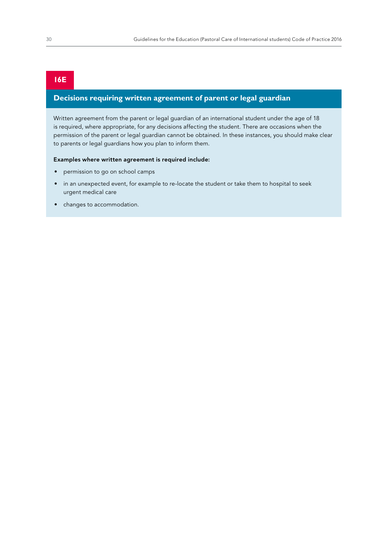### **16E**

### **Decisions requiring written agreement of parent or legal guardian**

Written agreement from the parent or legal guardian of an international student under the age of 18 is required, where appropriate, for any decisions affecting the student. There are occasions when the permission of the parent or legal guardian cannot be obtained. In these instances, you should make clear to parents or legal guardians how you plan to inform them.

#### Examples where written agreement is required include:

- permission to go on school camps
- in an unexpected event, for example to re-locate the student or take them to hospital to seek urgent medical care
- changes to accommodation.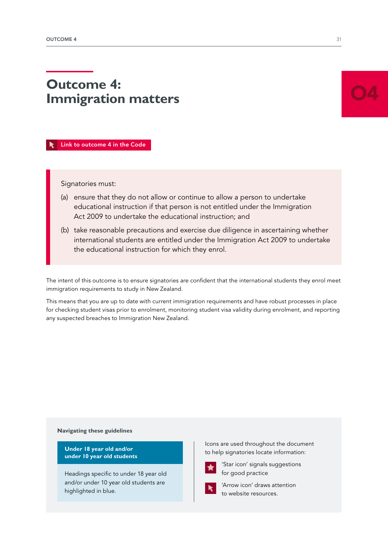# <span id="page-32-0"></span>**Outcome 4: Immigration matters**

 [Link to outcome 4 in the Code](https://www.nzqa.govt.nz/assets/Providers-and-partners/Code-of-Practice/Code-of-Practice-Amendments-2019.pdf#page=12)

Signatories must:

- (a) ensure that they do not allow or continue to allow a person to undertake educational instruction if that person is not entitled under the Immigration Act 2009 to undertake the educational instruction; and
- (b) take reasonable precautions and exercise due diligence in ascertaining whether international students are entitled under the Immigration Act 2009 to undertake the educational instruction for which they enrol.

The intent of this outcome is to ensure signatories are confident that the international students they enrol meet immigration requirements to study in New Zealand.

This means that you are up to date with current immigration requirements and have robust processes in place for checking student visas prior to enrolment, monitoring student visa validity during enrolment, and reporting any suspected breaches to Immigration New Zealand.

#### **Navigating these guidelines**

**Under 18 year old and/or under 10 year old students** 

Headings specific to under 18 year old and/or under 10 year old students are highlighted in blue.

Icons are used throughout the document to help signatories locate information:



'Star icon' signals suggestions for good practice



'Arrow icon' draws attention to website resources.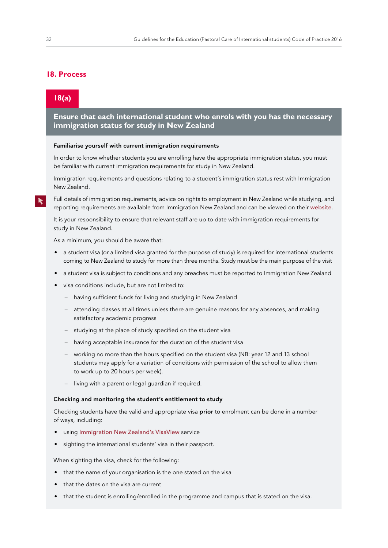### **18. Process**

### **18(a)**

**Ensure that each international student who enrols with you has the necessary immigration status for study in New Zealand** 

#### Familiarise yourself with current immigration requirements

In order to know whether students you are enrolling have the appropriate immigration status, you must be familiar with current immigration requirements for study in New Zealand.

Immigration requirements and questions relating to a student's immigration status rest with Immigration New Zealand.

Full details of immigration requirements, advice on rights to employment in New Zealand while studying, and reporting requirements are available from Immigration New Zealand and can be viewed on their [website](http://www.immigration.govt.nz/new-zealand-visas).

It is your responsibility to ensure that relevant staff are up to date with immigration requirements for study in New Zealand.

As a minimum, you should be aware that:

- a student visa (or a limited visa granted for the purpose of study) is required for international students coming to New Zealand to study for more than three months. Study must be the main purpose of the visit
- a student visa is subject to conditions and any breaches must be reported to Immigration New Zealand
- visa conditions include, but are not limited to:
	- having sufficient funds for living and studying in New Zealand
	- attending classes at all times unless there are genuine reasons for any absences, and making satisfactory academic progress
	- studying at the place of study specified on the student visa
	- having acceptable insurance for the duration of the student visa
	- working no more than the hours specified on the student visa (NB: year 12 and 13 school students may apply for a variation of conditions with permission of the school to allow them to work up to 20 hours per week).
	- living with a parent or legal guardian if required.

#### Checking and monitoring the student's entitlement to study

Checking students have the valid and appropriate visa **prior** to enrolment can be done in a number of ways, including:

- using Immigration New [Zealand's VisaView](https://www.immigration.govt.nz/about-us/our-online-systems/visaview) service
- sighting the international students' visa in their passport.

When sighting the visa, check for the following:

- that the name of your organisation is the one stated on the visa
- that the dates on the visa are current
- that the student is enrolling/enrolled in the programme and campus that is stated on the visa.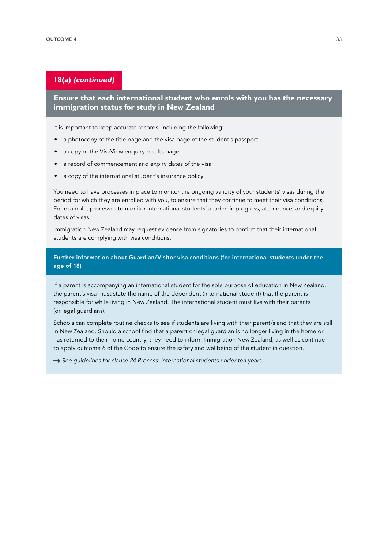### **18(a) (continued)**

**Ensure that each international student who enrols with you has the necessary immigration status for study in New Zealand** 

It is important to keep accurate records, including the following:

- a photocopy of the title page and the visa page of the student's passport
- a copy of the VisaView enquiry results page
- a record of commencement and expiry dates of the visa
- a copy of the international student's insurance policy.

You need to have processes in place to monitor the ongoing validity of your students' visas during the period for which they are enrolled with you, to ensure that they continue to meet their visa conditions. For example, processes to monitor international students' academic progress, attendance, and expiry dates of visas.

Immigration New Zealand may request evidence from signatories to confirm that their international students are complying with visa conditions.

Further information about Guardian/Visitor visa conditions (for international students under the age of 18)

If a parent is accompanying an international student for the sole purpose of education in New Zealand, the parent's visa must state the name of the dependent (international student) that the parent is responsible for while living in New Zealand. The international student must live with their parents (or legal guardians).

Schools can complete routine checks to see if students are living with their parent/s and that they are still in New Zealand. Should a school find that a parent or legal guardian is no longer living in the home or has returned to their home country, they need to inform Immigration New Zealand, as well as continue to apply outcome 6 of the Code to ensure the safety and wellbeing of the student in question.

See guidelines for clause 24 Process: international students under ten years.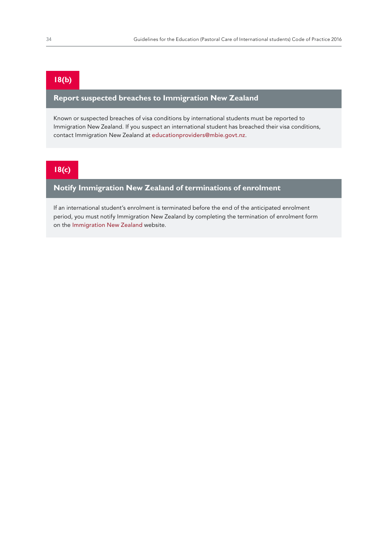### **18(b)**

### **Report suspected breaches to Immigration New Zealand**

Known or suspected breaches of visa conditions by international students must be reported to Immigration New Zealand. If you suspect an international student has breached their visa conditions, contact Immigration New Zealand at [educationproviders@mbie.govt.nz](mailto:educationproviders%40mbie.govt.nz?subject=).

### **18(c)**

### **Notify Immigration New Zealand of terminations of enrolment**

If an international student's enrolment is terminated before the end of the anticipated enrolment period, you must notify Immigration New Zealand by completing the termination of enrolment form on the [Immigration New](https://www.immigration.govt.nz/assist-migrants-and-students/assist-students/student-enrolment-termination) Zealand website.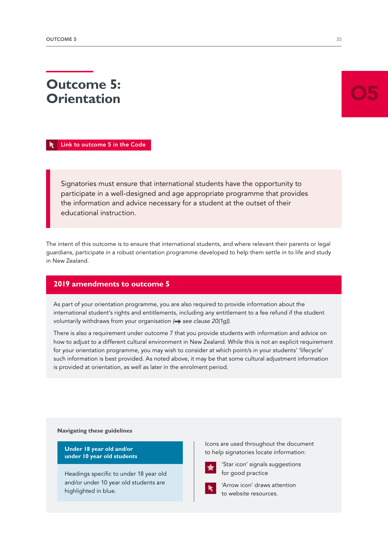# **Orientation**

**Outcome 5:** 

 [Link to outcome 5 in the Code](https://www.nzqa.govt.nz/assets/Providers-and-partners/Code-of-Practice/Code-of-Practice-Amendments-2019.pdf#page=12)

Signatories must ensure that international students have the opportunity to participate in a well-designed and age appropriate programme that provides the information and advice necessary for a student at the outset of their educational instruction.

The intent of this outcome is to ensure that international students, and where relevant their parents or legal guardians, participate in a robust orientation programme developed to help them settle in to life and study in New Zealand.

## **2019 amendments to outcome 5**

As part of your orientation programme, you are also required to provide information about the international student's rights and entitlements, including any entitlement to a fee refund if the student voluntarily withdraws from your organisation (**+** see clause 20(1q)).

There is also a requirement under outcome 7 that you provide students with information and advice on how to adjust to a different cultural environment in New Zealand. While this is not an explicit requirement for your orientation programme, you may wish to consider at which point/s in your students' 'lifecycle' such information is best provided. As noted above, it may be that some cultural adjustment information is provided at orientation, as well as later in the enrolment period.

**Navigating these guidelines**

**Under 18 year old and/or under 10 year old students** 

Headings specific to under 18 year old and/or under 10 year old students are highlighted in blue.

Icons are used throughout the document to help signatories locate information:



'Star icon' signals suggestions for good practice



'Arrow icon' draws attention to website resources.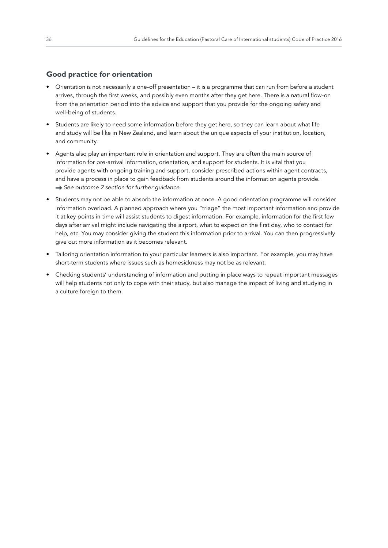## **Good practice for orientation**

- Orientation is not necessarily a one-off presentation it is a programme that can run from before a student arrives, through the first weeks, and possibly even months after they get here. There is a natural flow-on from the orientation period into the advice and support that you provide for the ongoing safety and well-being of students.
- Students are likely to need some information before they get here, so they can learn about what life and study will be like in New Zealand, and learn about the unique aspects of your institution, location, and community.
- Agents also play an important role in orientation and support. They are often the main source of information for pre-arrival information, orientation, and support for students. It is vital that you provide agents with ongoing training and support, consider prescribed actions within agent contracts, and have a process in place to gain feedback from students around the information agents provide.  *See outcome 2 section for further guidance*.
- Students may not be able to absorb the information at once. A good orientation programme will consider information overload. A planned approach where you "triage" the most important information and provide it at key points in time will assist students to digest information. For example, information for the first few days after arrival might include navigating the airport, what to expect on the first day, who to contact for help, etc. You may consider giving the student this information prior to arrival. You can then progressively give out more information as it becomes relevant.
- Tailoring orientation information to your particular learners is also important. For example, you may have short-term students where issues such as homesickness may not be as relevant.
- Checking students' understanding of information and putting in place ways to repeat important messages will help students not only to cope with their study, but also manage the impact of living and studying in a culture foreign to them.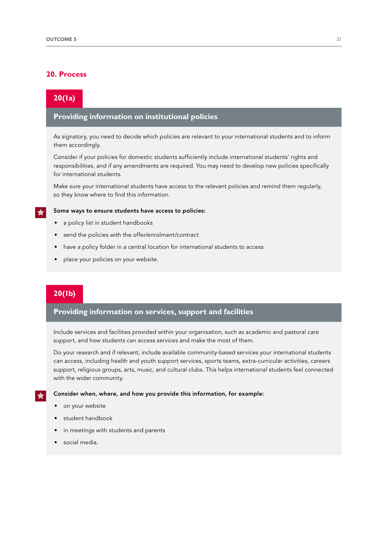## **20. Process**

## **20(1a)**

## **Providing information on institutional policies**

As signatory, you need to decide which policies are relevant to your international students and to inform them accordingly.

Consider if your policies for domestic students sufficiently include international students' rights and responsibilities, and if any amendments are required. You may need to develop new policies specifically for international students.

Make sure your international students have access to the relevant policies and remind them regularly, so they know where to find this information.

#### Some ways to ensure students have access to policies:

- a policy list in student handbooks
- send the policies with the offer/enrolment/contract
- have a policy folder in a central location for international students to access
- place your policies on your website.

## **20(1b)**

### **Providing information on services, support and facilities**

Include services and facilities provided within your organisation, such as academic and pastoral care support, and how students can access services and make the most of them.

Do your research and if relevant, include available community-based services your international students can access, including health and youth support services, sports teams, extra-curricular activities, careers support, religious groups, arts, music, and cultural clubs. This helps international students feel connected with the wider community.

#### Consider when, where, and how you provide this information, for example:

- on your website
- student handbook
- in meetings with students and parents
- social media.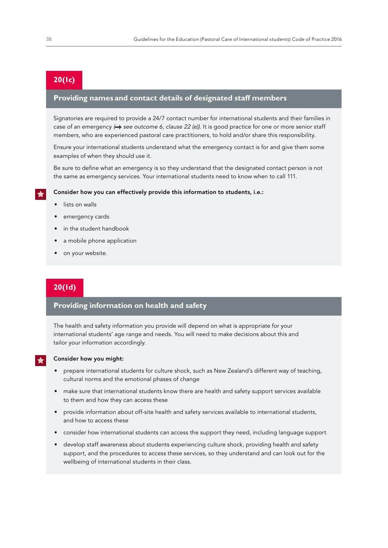## **20(1c)**

## **Providing names and contact details of designated staff members**

Signatories are required to provide a 24/7 contact number for international students and their families in case of an emergency ( $\rightarrow$  see outcome 6, clause 22 (e)). It is good practice for one or more senior staff members, who are experienced pastoral care practitioners, to hold and/or share this responsibility.

Ensure your international students understand what the emergency contact is for and give them some examples of when they should use it.

Be sure to define what an emergency is so they understand that the designated contact person is not the same as emergency services. Your international students need to know when to call 111.

#### Consider how you can effectively provide this information to students, i.e.:

- lists on walls
- emergency cards
- in the student handbook
- a mobile phone application
- on your website.

## **20(1d)**

## **Providing information on health and safety**

The health and safety information you provide will depend on what is appropriate for your international students' age range and needs. You will need to make decisions about this and tailor your information accordingly.



#### Consider how you might:

- prepare international students for culture shock, such as New Zealand's different way of teaching, cultural norms and the emotional phases of change
- make sure that international students know there are health and safety support services available to them and how they can access these
- provide information about off-site health and safety services available to international students, and how to access these
- consider how international students can access the support they need, including language support
- develop staff awareness about students experiencing culture shock, providing health and safety support, and the procedures to access these services, so they understand and can look out for the wellbeing of international students in their class.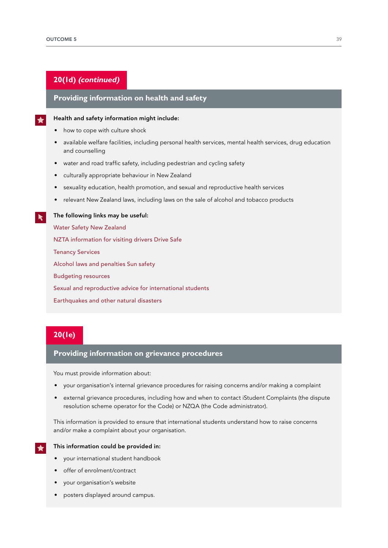## **20(1d) (continued)**

## **Providing information on health and safety**

#### Health and safety information might include:

- how to cope with culture shock
- available welfare facilities, including personal health services, mental health services, drug education and counselling
- water and road traffic safety, including pedestrian and cycling safety
- culturally appropriate behaviour in New Zealand
- sexuality education, health promotion, and sexual and reproductive health services
- relevant New Zealand laws, including laws on the sale of alcohol and tobacco products

#### The following links may be useful:

[Water Safety New](https://watersafety.org.nz/) Zealand [NZTA information for visiting drivers](https://www.nzta.govt.nz/media-releases/work-well-underway-to-improve-the-safety-of-visiting-drivers/) [Drive Safe](http://www.drivesafe.org.nz/) [Tenancy Services](https://www.tenancy.govt.nz/) [Alcohol laws and penalties](https://www.police.govt.nz/advice/drugs-and-alcohol) [Sun safety](https://www.sunsmart.org.nz/) [Budgeting resources](https://sorted.org.nz/guides/planning-and-budgeting/studying/) [Sexual and reproductive advice for international students](https://www.familyplanning.org.nz/international-students-sexuality-education-toolkit) [Earthquakes and other natural disasters](http://getthru.govt.nz/)

## **20(1e)**

## **Providing information on grievance procedures**

You must provide information about:

- your organisation's internal grievance procedures for raising concerns and/or making a complaint
- external grievance procedures, including how and when to contact iStudent Complaints (the dispute resolution scheme operator for the Code) or NZQA (the Code administrator).

This information is provided to ensure that international students understand how to raise concerns and/or make a complaint about your organisation.

 $\blacktriangleright$ 

## This information could be provided in:

- your international student handbook
- offer of enrolment/contract
- your organisation's website
- posters displayed around campus.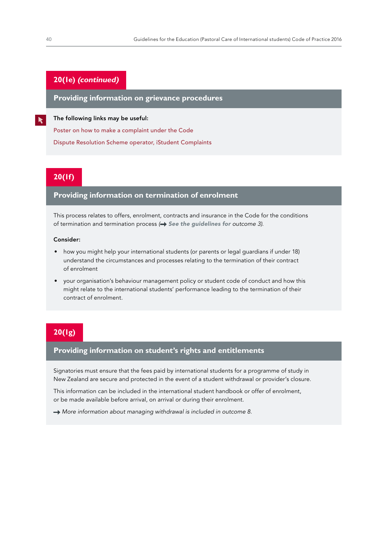## **20(1e) (continued)**

**Providing information on grievance procedures**

The following links may be useful:

[Poster on how to make a complaint under the Code](https://www.nzqa.govt.nz/assets/Providers-and-partners/Code-of-Practice/int-students-make-a-complaint-updated.pdf)

[Dispute Resolution Scheme operator, iStudent Complaints](https://www.istudent.org.nz/)

## **20(1f)**

## **Providing information on termination of enrolment**

This process relates to offers, enrolment, contracts and insurance in the Code for the conditions of termination and termination process *( See the guidelines for [outcome 3](https://www.nzqa.govt.nz/assets/Providers-and-partners/Code-of-Practice/guidelines-code-of-practice.pdf#guidelines-outcome-3))*.

#### Consider:

- how you might help your international students (or parents or legal guardians if under 18) understand the circumstances and processes relating to the termination of their contract of enrolment
- your organisation's behaviour management policy or student code of conduct and how this might relate to the international students' performance leading to the termination of their contract of enrolment.

## **20(1g)**

### **Providing information on student's rights and entitlements**

Signatories must ensure that the fees paid by international students for a programme of study in New Zealand are secure and protected in the event of a student withdrawal or provider's closure.

This information can be included in the international student handbook or offer of enrolment, or be made available before arrival, on arrival or during their enrolment.

 $\rightarrow$  More information about managing withdrawal is included in [outcome](https://www.nzqa.govt.nz/assets/Providers-and-partners/Code-of-Practice/guidelines-code-of-practice.pdf#guidelines-outcome-8) 8.

 $\blacktriangleright$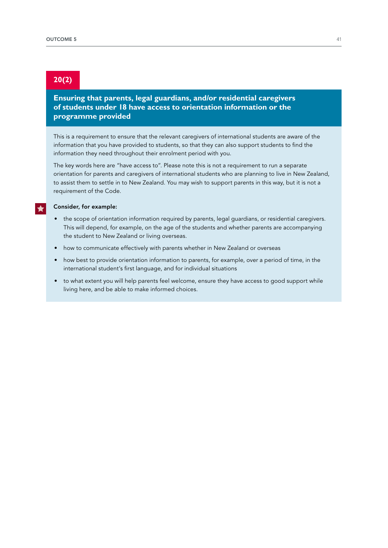## **20(2)**

**Ensuring that parents, legal guardians, and/or residential caregivers of students under 18 have access to orientation information or the programme provided** 

This is a requirement to ensure that the relevant caregivers of international students are aware of the information that you have provided to students, so that they can also support students to find the information they need throughout their enrolment period with you.

The key words here are "have access to". Please note this is not a requirement to run a separate orientation for parents and caregivers of international students who are planning to live in New Zealand, to assist them to settle in to New Zealand. You may wish to support parents in this way, but it is not a requirement of the Code.

#### Consider, for example:

- the scope of orientation information required by parents, legal guardians, or residential caregivers. This will depend, for example, on the age of the students and whether parents are accompanying the student to New Zealand or living overseas.
- how to communicate effectively with parents whether in New Zealand or overseas
- how best to provide orientation information to parents, for example, over a period of time, in the international student's first language, and for individual situations
- to what extent you will help parents feel welcome, ensure they have access to good support while living here, and be able to make informed choices.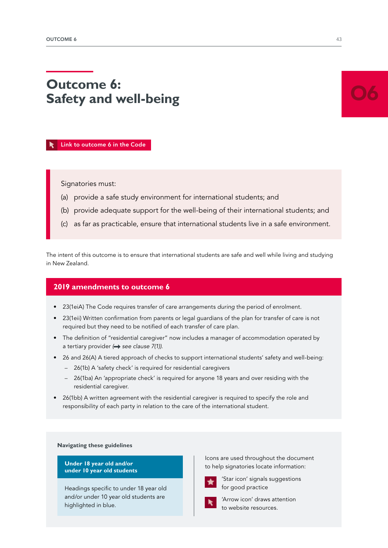# **Outcome 6: Safety and well-being**

 [Link to outcome 6 in the Code](https://www.nzqa.govt.nz/assets/Providers-and-partners/Code-of-Practice/Code-of-Practice-Amendments-2019.pdf#page=12)

Signatories must:

- (a) provide a safe study environment for international students; and
- (b) provide adequate support for the well-being of their international students; and
- (c) as far as practicable, ensure that international students live in a safe environment.

The intent of this outcome is to ensure that international students are safe and well while living and studying in New Zealand.

## **2019 amendments to outcome 6**

- 23(1eiA) The Code requires transfer of care arrangements *during* the period of enrolment.
- 23(1eii) Written confirmation from parents or legal guardians of the plan for transfer of care is not required but they need to be notified of each transfer of care plan.
- The definition of "residential caregiver" now includes a manager of accommodation operated by a tertiary provider (**+>** see clause 7(1)).
- 26 and 26(A) A tiered approach of checks to support international students' safety and well-being:
	- 26(1b) A 'safety check' is required for residential caregivers
	- 26(1ba) An 'appropriate check' is required for anyone 18 years and over residing with the residential caregiver.
- 26(1bb) A written agreement with the residential caregiver is required to specify the role and responsibility of each party in relation to the care of the international student.

**Navigating these guidelines**

**Under 18 year old and/or under 10 year old students** 

Headings specific to under 18 year old and/or under 10 year old students are highlighted in blue.

Icons are used throughout the document to help signatories locate information:



'Star icon' signals suggestions for good practice



'Arrow icon' draws attention to website resources.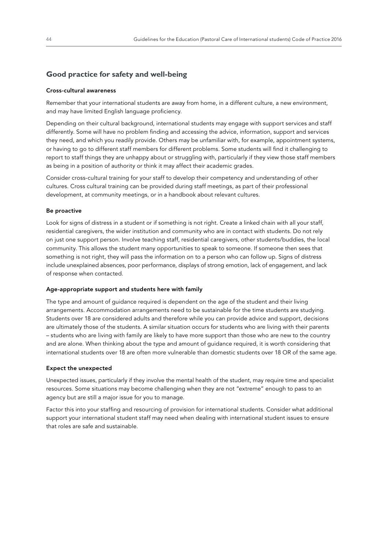## **Good practice for safety and well-being**

#### Cross-cultural awareness

Remember that your international students are away from home, in a different culture, a new environment, and may have limited English language proficiency.

Depending on their cultural background, international students may engage with support services and staff differently. Some will have no problem finding and accessing the advice, information, support and services they need, and which you readily provide. Others may be unfamiliar with, for example, appointment systems, or having to go to different staff members for different problems. Some students will find it challenging to report to staff things they are unhappy about or struggling with, particularly if they view those staff members as being in a position of authority or think it may affect their academic grades.

Consider cross-cultural training for your staff to develop their competency and understanding of other cultures. Cross cultural training can be provided during staff meetings, as part of their professional development, at community meetings, or in a handbook about relevant cultures.

#### Be proactive

Look for signs of distress in a student or if something is not right. Create a linked chain with all your staff, residential caregivers, the wider institution and community who are in contact with students. Do not rely on just one support person. Involve teaching staff, residential caregivers, other students/buddies, the local community. This allows the student many opportunities to speak to someone. If someone then sees that something is not right, they will pass the information on to a person who can follow up. Signs of distress include unexplained absences, poor performance, displays of strong emotion, lack of engagement, and lack of response when contacted.

#### Age-appropriate support and students here with family

The type and amount of guidance required is dependent on the age of the student and their living arrangements. Accommodation arrangements need to be sustainable for the time students are studying. Students over 18 are considered adults and therefore while you can provide advice and support, decisions are ultimately those of the students. A similar situation occurs for students who are living with their parents – students who are living with family are likely to have more support than those who are new to the country and are alone. When thinking about the type and amount of guidance required, it is worth considering that international students over 18 are often more vulnerable than domestic students over 18 OR of the same age.

#### Expect the unexpected

Unexpected issues, particularly if they involve the mental health of the student, may require time and specialist resources. Some situations may become challenging when they are not "extreme" enough to pass to an agency but are still a major issue for you to manage.

Factor this into your staffing and resourcing of provision for international students. Consider what additional support your international student staff may need when dealing with international student issues to ensure that roles are safe and sustainable.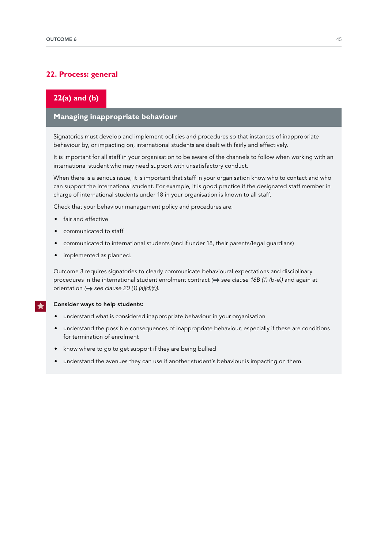## **22. Process: general**

## **22(a) and (b)**

## **Managing inappropriate behaviour**

Signatories must develop and implement policies and procedures so that instances of inappropriate behaviour by, or impacting on, international students are dealt with fairly and effectively.

It is important for all staff in your organisation to be aware of the channels to follow when working with an international student who may need support with unsatisfactory conduct.

When there is a serious issue, it is important that staff in your organisation know who to contact and who can support the international student. For example, it is good practice if the designated staff member in charge of international students under 18 in your organisation is known to all staff.

Check that your behaviour management policy and procedures are:

- fair and effective
- communicated to staff
- communicated to international students (and if under 18, their parents/legal guardians)
- implemented as planned.

Outcome 3 requires signatories to clearly communicate behavioural expectations and disciplinary procedures in the international student enrolment contract ( $\rightarrow$  see clause 16B (1) (b-e)) and again at orientation (**+** see clause 20 (1) (a)(d)(f)).

#### Consider ways to help students:

- understand what is considered inappropriate behaviour in your organisation
- understand the possible consequences of inappropriate behaviour, especially if these are conditions for termination of enrolment
- know where to go to get support if they are being bullied
- understand the avenues they can use if another student's behaviour is impacting on them.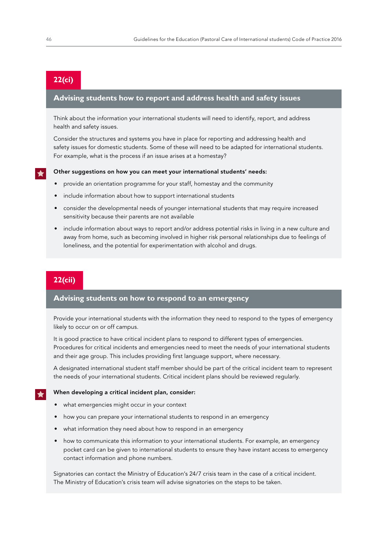## **22(ci)**

## **Advising students how to report and address health and safety issues**

Think about the information your international students will need to identify, report, and address health and safety issues.

Consider the structures and systems you have in place for reporting and addressing health and safety issues for domestic students. Some of these will need to be adapted for international students. For example, what is the process if an issue arises at a homestay?

#### Other suggestions on how you can meet your international students' needs:

- provide an orientation programme for your staff, homestay and the community
- include information about how to support international students
- consider the developmental needs of younger international students that may require increased sensitivity because their parents are not available
- include information about ways to report and/or address potential risks in living in a new culture and away from home, such as becoming involved in higher risk personal relationships due to feelings of loneliness, and the potential for experimentation with alcohol and drugs.

## **22(cii)**

## **Advising students on how to respond to an emergency**

Provide your international students with the information they need to respond to the types of emergency likely to occur on or off campus.

It is good practice to have critical incident plans to respond to different types of emergencies. Procedures for critical incidents and emergencies need to meet the needs of your international students and their age group. This includes providing first language support, where necessary.

A designated international student staff member should be part of the critical incident team to represent the needs of your international students. Critical incident plans should be reviewed regularly.

#### When developing a critical incident plan, consider:

- what emergencies might occur in your context
- how you can prepare your international students to respond in an emergency
- what information they need about how to respond in an emergency
- how to communicate this information to your international students. For example, an emergency pocket card can be given to international students to ensure they have instant access to emergency contact information and phone numbers.

Signatories can contact the Ministry of Education's 24/7 crisis team in the case of a critical incident. The Ministry of Education's crisis team will advise signatories on the steps to be taken.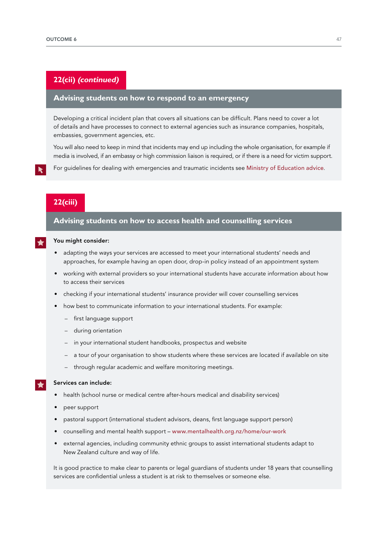## **22(cii) (continued)**

## **Advising students on how to respond to an emergency**

Developing a critical incident plan that covers all situations can be difficult. Plans need to cover a lot of details and have processes to connect to external agencies such as insurance companies, hospitals, embassies, government agencies, etc.

You will also need to keep in mind that incidents may end up including the whole organisation, for example if media is involved, if an embassy or high commission liaison is required, or if there is a need for victim support.

For guidelines for dealing with emergencies and traumatic incidents see [Ministry of Education advice](http://www.education.govt.nz/school/student-support/emergencies).

## **22(ciii)**

### **Advising students on how to access health and counselling services**

#### You might consider:

- adapting the ways your services are accessed to meet your international students' needs and approaches, for example having an open door, drop-in policy instead of an appointment system
- working with external providers so your international students have accurate information about how to access their services
- checking if your international students' insurance provider will cover counselling services
- how best to communicate information to your international students. For example:
	- first language support
	- during orientation
	- in your international student handbooks, prospectus and website
	- a tour of your organisation to show students where these services are located if available on site
	- through regular academic and welfare monitoring meetings.

#### Services can include:

- health (school nurse or medical centre after-hours medical and disability services)
- peer support
- pastoral support (international student advisors, deans, first language support person)
- counselling and mental health support [www.mentalhealth.org.nz/home/our-work](http://www.mentalhealth.org.nz/home/our-work)
- external agencies, including community ethnic groups to assist international students adapt to New Zealand culture and way of life.

It is good practice to make clear to parents or legal guardians of students under 18 years that counselling services are confidential unless a student is at risk to themselves or someone else.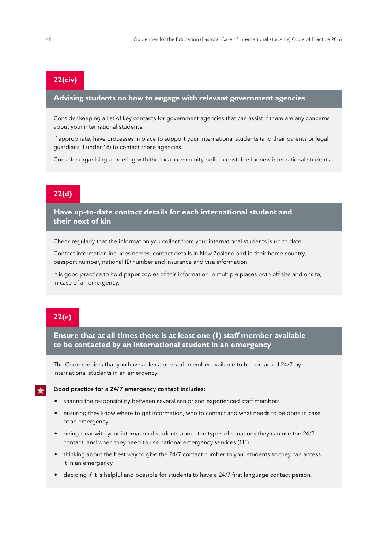## **22(civ)**

## **Advising students on how to engage with relevant government agencies**

Consider keeping a list of key contacts for government agencies that can assist if there are any concerns about your international students.

If appropriate, have processes in place to support your international students (and their parents or legal guardians if under 18) to contact these agencies.

Consider organising a meeting with the local community police constable for new international students.

## **22(d)**

**Have up-to-date contact details for each international student and their next of kin** 

Check regularly that the information you collect from your international students is up to date.

Contact information includes names, contact details in New Zealand and in their home country, passport number, national ID number and insurance and visa information.

It is good practice to hold paper copies of this information in multiple places both off site and onsite, in case of an emergency.

## **22(e)**

**Ensure that at all times there is at least one (1) staff member available to be contacted by an international student in an emergency** 

The Code requires that you have at least one staff member available to be contacted 24/7 by international students in an emergency.

#### Good practice for a 24/7 emergency contact includes:

- sharing the responsibility between several senior and experienced staff members
- ensuring they know where to get information, who to contact and what needs to be done in case of an emergency
- being clear with your international students about the types of situations they can use the 24/7 contact, and when they need to use national emergency services (111)
- thinking about the best way to give the 24/7 contact number to your students so they can access it in an emergency
- deciding if it is helpful and possible for students to have a 24/7 first language contact person.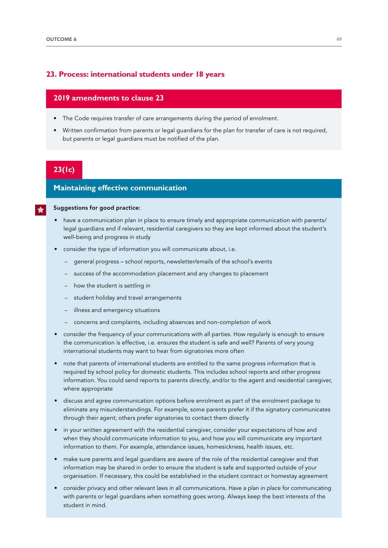### **23. Process: international students under 18 years**

## **2019 amendments to clause 23**

- The Code requires transfer of care arrangements during the period of enrolment.
- Written confirmation from parents or legal guardians for the plan for transfer of care is not required, but parents or legal guardians must be notified of the plan.

## **23(1c)**

## **Maintaining effective communication**

#### Suggestions for good practice:

- have a communication plan in place to ensure timely and appropriate communication with parents/ legal guardians and if relevant, residential caregivers so they are kept informed about the student's well-being and progress in study
- consider the type of information you will communicate about, i.e.
	- general progress school reports, newsletter/emails of the school's events
	- success of the accommodation placement and any changes to placement
	- how the student is settling in
	- student holiday and travel arrangements
	- illness and emergency situations
	- concerns and complaints, including absences and non-completion of work
- consider the frequency of your communications with all parties. How regularly is enough to ensure the communication is effective, i.e. ensures the student is safe and well? Parents of very young international students may want to hear from signatories more often
- note that parents of international students are entitled to the same progress information that is required by school policy for domestic students. This includes school reports and other progress information. You could send reports to parents directly, and/or to the agent and residential caregiver, where appropriate
- discuss and agree communication options before enrolment as part of the enrolment package to eliminate any misunderstandings. For example, some parents prefer it if the signatory communicates through their agent; others prefer signatories to contact them directly
- in your written agreement with the residential caregiver, consider your expectations of how and when they should communicate information to you, and how you will communicate any important information to them. For example, attendance issues, homesickness, health issues, etc.
- make sure parents and legal guardians are aware of the role of the residential caregiver and that information may be shared in order to ensure the student is safe and supported outside of your organisation. If necessary, this could be established in the student contract or homestay agreement
- consider privacy and other relevant laws in all communications. Have a plan in place for communicating with parents or legal guardians when something goes wrong. Always keep the best interests of the student in mind.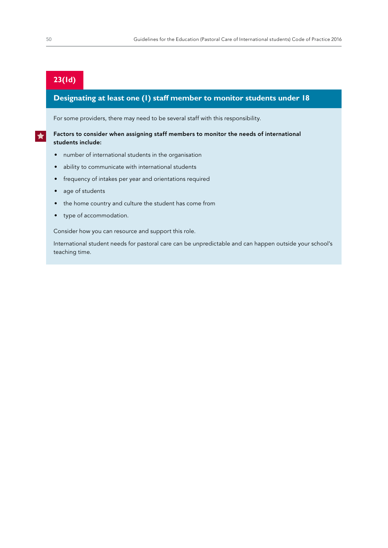## **23(1d)**

## **Designating at least one (1) staff member to monitor students under 18**

For some providers, there may need to be several staff with this responsibility.

#### Factors to consider when assigning staff members to monitor the needs of international students include:

- number of international students in the organisation
- ability to communicate with international students
- frequency of intakes per year and orientations required
- age of students
- the home country and culture the student has come from
- type of accommodation.

Consider how you can resource and support this role.

International student needs for pastoral care can be unpredictable and can happen outside your school's teaching time.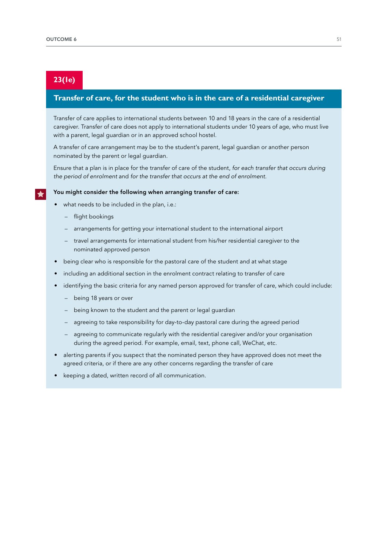## **23(1e)**

## **Transfer of care, for the student who is in the care of a residential caregiver**

Transfer of care applies to international students between 10 and 18 years in the care of a residential caregiver. Transfer of care does not apply to international students under 10 years of age, who must live with a parent, legal guardian or in an approved school hostel.

A transfer of care arrangement may be to the student's parent, legal guardian or another person nominated by the parent or legal guardian.

Ensure that a plan is in place for the transfer of care of the student, *for each transfer that occurs during*  the period of enrolment and *for the transfer that occurs at the end of enrolment*.

#### You might consider the following when arranging transfer of care:

- what needs to be included in the plan, i.e.:
	- flight bookings
	- arrangements for getting your international student to the international airport
	- travel arrangements for international student from his/her residential caregiver to the nominated approved person
- being clear who is responsible for the pastoral care of the student and at what stage
- including an additional section in the enrolment contract relating to transfer of care
- identifying the basic criteria for any named person approved for transfer of care, which could include:
	- being 18 years or over
	- being known to the student and the parent or legal guardian
	- agreeing to take responsibility for day-to-day pastoral care during the agreed period
	- agreeing to communicate regularly with the residential caregiver and/or your organisation during the agreed period. For example, email, text, phone call, WeChat, etc.
- alerting parents if you suspect that the nominated person they have approved does not meet the agreed criteria, or if there are any other concerns regarding the transfer of care
- keeping a dated, written record of all communication.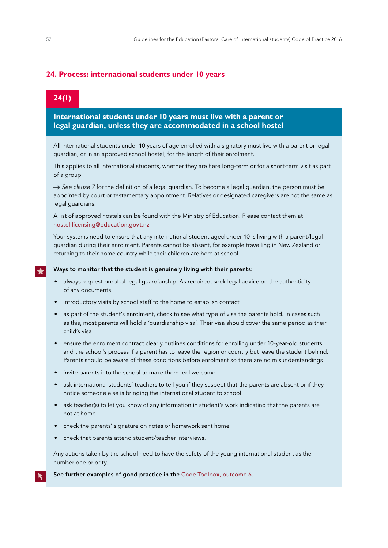## **24. Process: international students under 10 years**

## **24(1)**

**International students under 10 years must live with a parent or legal guardian, unless they are accommodated in a school hostel** 

All international students under 10 years of age enrolled with a signatory must live with a parent or legal guardian, or in an approved school hostel, for the length of their enrolment.

This applies to all international students, whether they are here long-term or for a short-term visit as part of a group.

→ See clause 7 for the definition of a legal guardian. To become a legal guardian, the person must be appointed by court or testamentary appointment. Relatives or designated caregivers are not the same as legal guardians.

A list of approved hostels can be found with the Ministry of Education. Please contact them at [hostel.licensing@education.govt.nz](mailto:hostel.licensing%40education.govt.nz?subject=)

Your systems need to ensure that any international student aged under 10 is living with a parent/legal guardian during their enrolment. Parents cannot be absent, for example travelling in New Zealand or returning to their home country while their children are here at school.

#### Ways to monitor that the student is genuinely living with their parents:

- always request proof of legal guardianship. As required, seek legal advice on the authenticity of any documents
- introductory visits by school staff to the home to establish contact
- as part of the student's enrolment, check to see what type of visa the parents hold. In cases such as this, most parents will hold a 'guardianship visa'. Their visa should cover the same period as their child's visa
- ensure the enrolment contract clearly outlines conditions for enrolling under 10-year-old students and the school's process if a parent has to leave the region or country but leave the student behind. Parents should be aware of these conditions before enrolment so there are no misunderstandings
- invite parents into the school to make them feel welcome
- ask international students' teachers to tell you if they suspect that the parents are absent or if they notice someone else is bringing the international student to school
- ask teacher(s) to let you know of any information in student's work indicating that the parents are not at home
- check the parents' signature on notes or homework sent home
- check that parents attend student/teacher interviews.

Any actions taken by the school need to have the safety of the young international student as the number one priority.

See further examples of good practice in the [Code Toolbox, outcome 6](https://www.nzqa.govt.nz/providers-partners/education-code-of-practice/code-of-practice-toolbox/outcome-6/).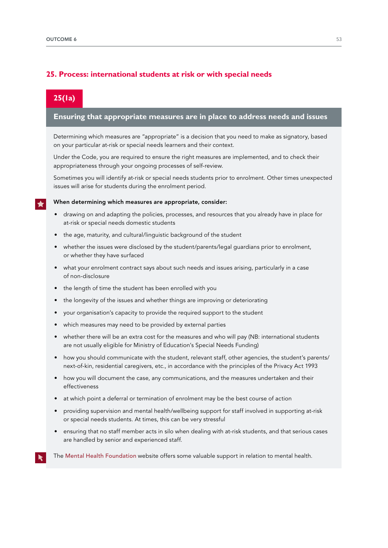## **25. Process: international students at risk or with special needs**

## **25(1a)**

### **Ensuring that appropriate measures are in place to address needs and issues**

Determining which measures are "appropriate" is a decision that you need to make as signatory, based on your particular at-risk or special needs learners and their context.

Under the Code, you are required to ensure the right measures are implemented, and to check their appropriateness through your ongoing processes of self-review.

Sometimes you will identify at-risk or special needs students prior to enrolment. Other times unexpected issues will arise for students during the enrolment period.

#### When determining which measures are appropriate, consider:

- drawing on and adapting the policies, processes, and resources that you already have in place for at-risk or special needs domestic students
- the age, maturity, and cultural/linguistic background of the student
- whether the issues were disclosed by the student/parents/legal guardians prior to enrolment, or whether they have surfaced
- what your enrolment contract says about such needs and issues arising, particularly in a case of non-disclosure
- the length of time the student has been enrolled with you
- the longevity of the issues and whether things are improving or deteriorating
- your organisation's capacity to provide the required support to the student
- which measures may need to be provided by external parties
- whether there will be an extra cost for the measures and who will pay (NB: international students are not usually eligible for Ministry of Education's Special Needs Funding)
- how you should communicate with the student, relevant staff, other agencies, the student's parents/ next-of-kin, residential caregivers, etc., in accordance with the principles of the Privacy Act 1993
- how you will document the case, any communications, and the measures undertaken and their effectiveness
- at which point a deferral or termination of enrolment may be the best course of action
- providing supervision and mental health/wellbeing support for staff involved in supporting at-risk or special needs students. At times, this can be very stressful
- ensuring that no staff member acts in silo when dealing with at-risk students, and that serious cases are handled by senior and experienced staff.
- The [Mental Health Foundation](https://www.mentalhealth.org.nz/get-help/in-crisis/) website offers some valuable support in relation to mental health.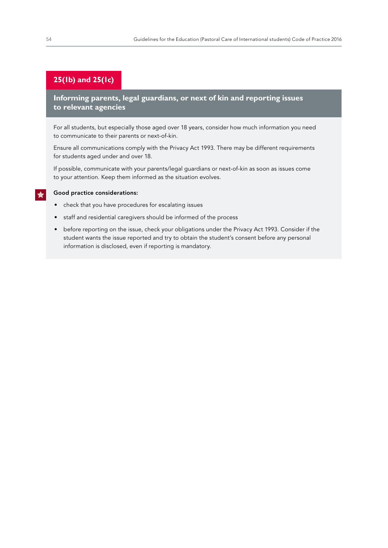## **25(1b) and 25(1c)**

**Informing parents, legal guardians, or next of kin and reporting issues to relevant agencies** 

For all students, but especially those aged over 18 years, consider how much information you need to communicate to their parents or next-of-kin.

Ensure all communications comply with the Privacy Act 1993. There may be different requirements for students aged under and over 18.

If possible, communicate with your parents/legal guardians or next-of-kin as soon as issues come to your attention. Keep them informed as the situation evolves.

#### Good practice considerations:

- check that you have procedures for escalating issues
- staff and residential caregivers should be informed of the process
- before reporting on the issue, check your obligations under the Privacy Act 1993. Consider if the student wants the issue reported and try to obtain the student's consent before any personal information is disclosed, even if reporting is mandatory.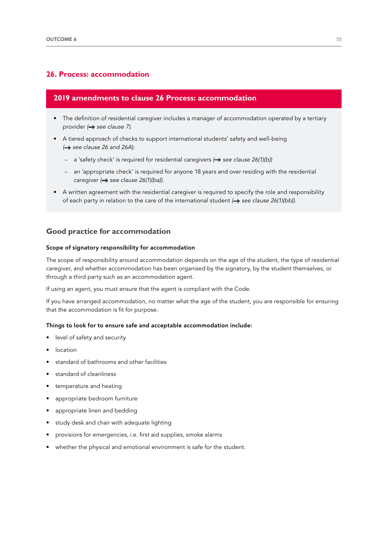## **26. Process: accommodation**

## **2019 amendments to clause 26 Process: accommodation**

- The definition of residential caregiver includes a manager of accommodation operated by a tertiary provider (**+** see clause 7).
- A tiered approach of checks to support international students' safety and well-being **→** see clause 26 and 26A):
	- a 'safety check' is required for residential caregivers (→ see clause 26(1)(b))
	- an 'appropriate check' is required for anyone 18 years and over residing with the residential caregiver ( $\rightarrow$  see clause 26(1)(ba)).
- A written agreement with the residential caregiver is required to specify the role and responsibility of each party in relation to the care of the international student  $\leftrightarrow$  see clause 26(1)(bb)).

## **Good practice for accommodation**

#### Scope of signatory responsibility for accommodation

The scope of responsibility around accommodation depends on the age of the student, the type of residential caregiver, and whether accommodation has been organised by the signatory, by the student themselves, or through a third party such as an accommodation agent.

If using an agent, you must ensure that the agent is compliant with the Code.

If you have arranged accommodation, no matter what the age of the student, you are responsible for ensuring that the accommodation is fit for purpose.

#### Things to look for to ensure safe and acceptable accommodation include:

- level of safety and security
- **location**
- standard of bathrooms and other facilities
- standard of cleanliness
- temperature and heating
- appropriate bedroom furniture
- appropriate linen and bedding
- study desk and chair with adequate lighting
- provisions for emergencies, i.e. first aid supplies, smoke alarms
- whether the physical and emotional environment is safe for the student.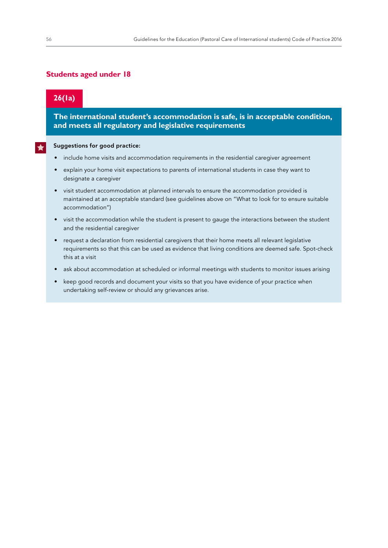## **Students aged under 18**

## **26(1a)**

**The international student's accommodation is safe, is in acceptable condition, and meets all regulatory and legislative requirements** 

#### Suggestions for good practice:

- include home visits and accommodation requirements in the residential caregiver agreement
- explain your home visit expectations to parents of international students in case they want to designate a caregiver
- visit student accommodation at planned intervals to ensure the accommodation provided is maintained at an acceptable standard (see guidelines above on "What to look for to ensure suitable accommodation")
- visit the accommodation while the student is present to gauge the interactions between the student and the residential caregiver
- request a declaration from residential caregivers that their home meets all relevant legislative requirements so that this can be used as evidence that living conditions are deemed safe. Spot-check this at a visit
- ask about accommodation at scheduled or informal meetings with students to monitor issues arising
- keep good records and document your visits so that you have evidence of your practice when undertaking self-review or should any grievances arise.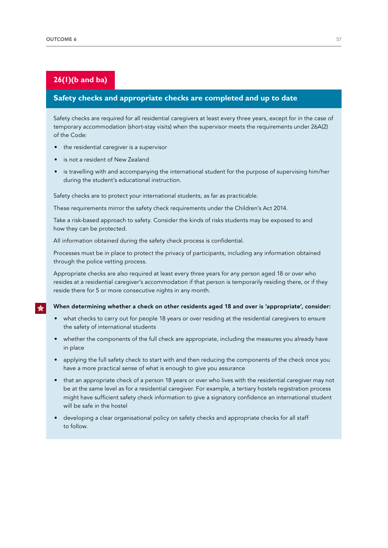## **26(1)(b and ba)**

## **Safety checks and appropriate checks are completed and up to date**

Safety checks are required for all residential caregivers at least every three years, except for in the case of temporary accommodation (short-stay visits) when the supervisor meets the requirements under 26A(2) of the Code:

- the residential caregiver is a supervisor
- is not a resident of New Zealand
- is travelling with and accompanying the international student for the purpose of supervising him/her during the student's educational instruction.

Safety checks are to protect your international students, as far as practicable.

These requirements mirror the safety check requirements under the Children's Act 2014.

Take a risk-based approach to safety. Consider the kinds of risks students may be exposed to and how they can be protected.

All information obtained during the safety check process is confidential.

Processes must be in place to protect the privacy of participants, including any information obtained through the police vetting process.

Appropriate checks are also required at least every three years for any person aged 18 or over who resides at a residential caregiver's accommodation if that person is temporarily residing there, or if they reside there for 5 or more consecutive nights in any month.

#### When determining whether a check on other residents aged 18 and over is 'appropriate', consider:

- what checks to carry out for people 18 years or over residing at the residential caregivers to ensure the safety of international students
- whether the components of the full check are appropriate, including the measures you already have in place
- applying the full safety check to start with and then reducing the components of the check once you have a more practical sense of what is enough to give you assurance
- that an appropriate check of a person 18 years or over who lives with the residential caregiver may not be at the same level as for a residential caregiver. For example, a tertiary hostels registration process might have sufficient safety check information to give a signatory confidence an international student will be safe in the hostel
- developing a clear organisational policy on safety checks and appropriate checks for all staff to follow.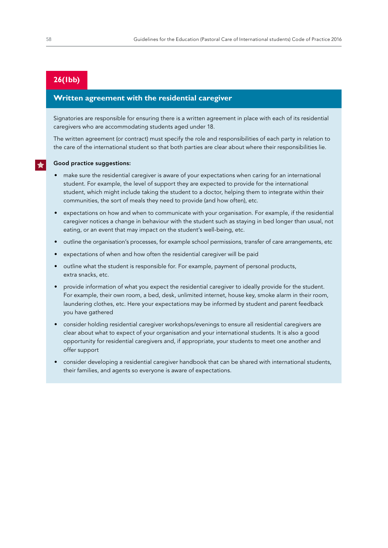## **26(1bb)**

## **Written agreement with the residential caregiver**

Signatories are responsible for ensuring there is a written agreement in place with each of its residential caregivers who are accommodating students aged under 18.

The written agreement (or contract) must specify the role and responsibilities of each party in relation to the care of the international student so that both parties are clear about where their responsibilities lie.

#### Good practice suggestions:

- make sure the residential caregiver is aware of your expectations when caring for an international student. For example, the level of support they are expected to provide for the international student, which might include taking the student to a doctor, helping them to integrate within their communities, the sort of meals they need to provide (and how often), etc.
- expectations on how and when to communicate with your organisation. For example, if the residential caregiver notices a change in behaviour with the student such as staying in bed longer than usual, not eating, or an event that may impact on the student's well-being, etc.
- outline the organisation's processes, for example school permissions, transfer of care arrangements, etc
- expectations of when and how often the residential caregiver will be paid
- outline what the student is responsible for. For example, payment of personal products, extra snacks, etc.
- provide information of what you expect the residential caregiver to ideally provide for the student. For example, their own room, a bed, desk, unlimited internet, house key, smoke alarm in their room, laundering clothes, etc. Here your expectations may be informed by student and parent feedback you have gathered
- consider holding residential caregiver workshops/evenings to ensure all residential caregivers are clear about what to expect of your organisation and your international students. It is also a good opportunity for residential caregivers and, if appropriate, your students to meet one another and offer support
- consider developing a residential caregiver handbook that can be shared with international students, their families, and agents so everyone is aware of expectations.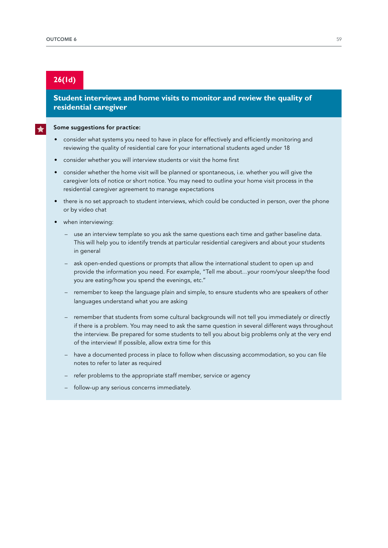## **26(1d)**

## **Student interviews and home visits to monitor and review the quality of residential caregiver**

#### Some suggestions for practice:

- consider what systems you need to have in place for effectively and efficiently monitoring and reviewing the quality of residential care for your international students aged under 18
- consider whether you will interview students or visit the home first
- consider whether the home visit will be planned or spontaneous, i.e. whether you will give the caregiver lots of notice or short notice. You may need to outline your home visit process in the residential caregiver agreement to manage expectations
- there is no set approach to student interviews, which could be conducted in person, over the phone or by video chat
- when interviewing:
	- use an interview template so you ask the same questions each time and gather baseline data. This will help you to identify trends at particular residential caregivers and about your students in general
	- ask open-ended questions or prompts that allow the international student to open up and provide the information you need. For example, "Tell me about…your room/your sleep/the food you are eating/how you spend the evenings, etc."
	- remember to keep the language plain and simple, to ensure students who are speakers of other languages understand what you are asking
	- remember that students from some cultural backgrounds will not tell you immediately or directly if there is a problem. You may need to ask the same question in several different ways throughout the interview. Be prepared for some students to tell you about big problems only at the very end of the interview! If possible, allow extra time for this
	- have a documented process in place to follow when discussing accommodation, so you can file notes to refer to later as required
	- refer problems to the appropriate staff member, service or agency
	- follow-up any serious concerns immediately.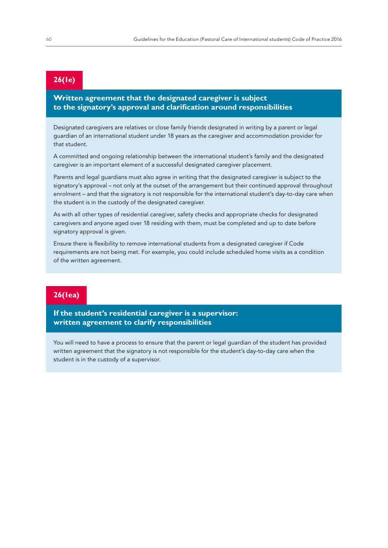## **26(1e)**

## **Written agreement that the designated caregiver is subject to the signatory's approval and clarification around responsibilities**

Designated caregivers are relatives or close family friends designated in writing by a parent or legal guardian of an international student under 18 years as the caregiver and accommodation provider for that student.

A committed and ongoing relationship between the international student's family and the designated caregiver is an important element of a successful designated caregiver placement.

Parents and legal guardians must also agree in writing that the designated caregiver is subject to the signatory's approval – not only at the outset of the arrangement but their continued approval throughout enrolment – and that the signatory is not responsible for the international student's day-to-day care when the student is in the custody of the designated caregiver.

As with all other types of residential caregiver, safety checks and appropriate checks for designated caregivers and anyone aged over 18 residing with them, must be completed and up to date before signatory approval is given.

Ensure there is flexibility to remove international students from a designated caregiver if Code requirements are not being met. For example, you could include scheduled home visits as a condition of the written agreement.

## **26(1ea)**

**If the student's residential caregiver is a supervisor: written agreement to clarify responsibilities** 

You will need to have a process to ensure that the parent or legal guardian of the student has provided written agreement that the signatory is not responsible for the student's day-to-day care when the student is in the custody of a supervisor.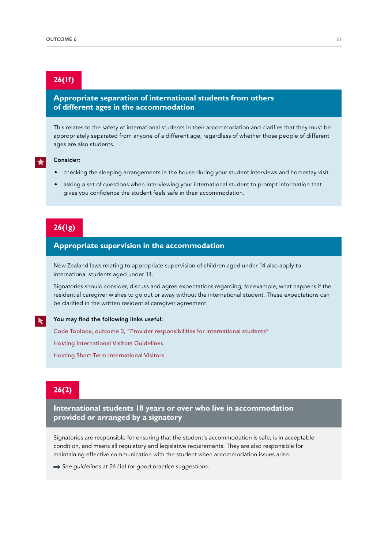## **26(1f)**

## **Appropriate separation of international students from others of different ages in the accommodation**

This relates to the safety of international students in their accommodation and clarifies that they must be appropriately separated from anyone of a different age, regardless of whether those people of different ages are also students.

#### Consider:

- checking the sleeping arrangements in the house during your student interviews and homestay visit
- asking a set of questions when interviewing your international student to prompt information that gives you confidence the student feels safe in their accommodation.

## **26(1g)**

## **Appropriate supervision in the accommodation**

New Zealand laws relating to appropriate supervision of children aged under 14 also apply to international students aged under 14.

Signatories should consider, discuss and agree expectations regarding, for example, what happens if the residential caregiver wishes to go out or away without the international student. These expectations can be clarified in the written residential caregiver agreement.

#### You may find the following links useful:

[Code Toolbox, outcome 3, "Provider responsibilities for international students"](https://www.nzqa.govt.nz/providers-partners/education-code-of-practice/code-of-practice-toolbox/outcome-3/provider-responsibilities/)

[Hosting International Visitors Guidelines](http://www.education.govt.nz/assets/Documents/School/Supporting-students/Student-Wellbeing/HostingInternationalVisitorsFAQs.pdf)

[Hosting Short-Term International Visitors](https://www.education.govt.nz/school/student-support/supporting-transitions/international-student-visitors/)

## **26(2)**

**International students 18 years or over who live in accommodation provided or arranged by a signatory** 

Signatories are responsible for ensuring that the student's accommodation is safe, is in acceptable condition, and meets all regulatory and legislative requirements. They are also responsible for maintaining effective communication with the student when accommodation issues arise.

 $\rightarrow$  See quidelines at 26 (1a) for good practice suggestions.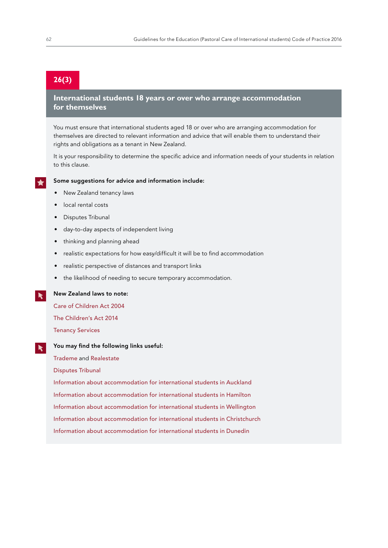## **26(3)**

## **International students 18 years or over who arrange accommodation for themselves**

You must ensure that international students aged 18 or over who are arranging accommodation for themselves are directed to relevant information and advice that will enable them to understand their rights and obligations as a tenant in New Zealand.

It is your responsibility to determine the specific advice and information needs of your students in relation to this clause.

#### Some suggestions for advice and information include:

- New Zealand tenancy laws
- local rental costs
- Disputes Tribunal
- day-to-day aspects of independent living
- thinking and planning ahead
- realistic expectations for how easy/difficult it will be to find accommodation
- realistic perspective of distances and transport links
- the likelihood of needing to secure temporary accommodation.

New Zealand laws to note:

[Care of Children Act 2004](http://www.legislation.govt.nz/act/public/2004/0090/67.0/DLM317233.html)

[The Children's Act 2014](https://www.orangatamariki.govt.nz/working-with-children/childrens-act-requirements/)

[Tenancy Services](http://www.tenancy.govt.nz/)

#### You may find the following links useful:  $\blacktriangleright$

[Trademe](https://www.trademe.co.nz/) and [Realestate](http://www.realestate.co.nz/)

[Disputes Tribunal](https://www.disputestribunal.govt.nz/)

[Information about accommodation for international students in Auckland](http://www.aucklandnz.com/study/live)

[Information about accommodation for international students in Hamilton](http://www.studywaikato.co.nz/accommodation-guide/)

[Information about accommodation for international students in Wellington](http://www.studyinwellington.com/getting-here/accommodation/)

[Information about accommodation for international students in Christchurch](http://www.christchurcheducated.co.nz/life/accommodation/)

[Information about accommodation for international students in Dunedin](https://www.otago.ac.nz/accommodation/international-students/index.html)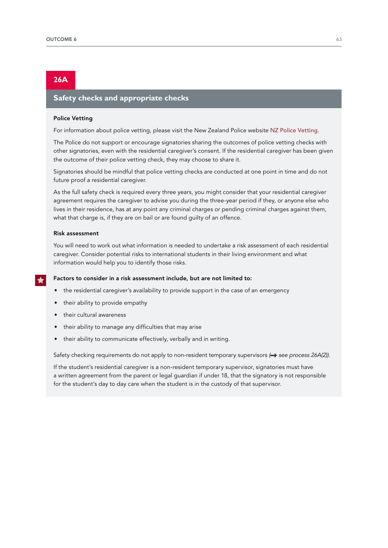## **26A**

## **Safety checks and appropriate checks**

#### Police Vetting

For information about police vetting, please visit the New Zealand Police website [NZ Police Vetting](https://www.police.govt.nz/advice/businesses-and-organisations/vetting).

The Police do not support or encourage signatories sharing the outcomes of police vetting checks with other signatories, even with the residential caregiver's consent. If the residential caregiver has been given the outcome of their police vetting check, they may choose to share it.

Signatories should be mindful that police vetting checks are conducted at one point in time and do not future proof a residential caregiver.

As the full safety check is required every three years, you might consider that your residential caregiver agreement requires the caregiver to advise you during the three-year period if they, or anyone else who lives in their residence, has at any point any criminal charges or pending criminal charges against them, what that charge is, if they are on bail or are found guilty of an offence.

#### Risk assessment

You will need to work out what information is needed to undertake a risk assessment of each residential caregiver. Consider potential risks to international students in their living environment and what information would help you to identify those risks.

#### Factors to consider in a risk assessment include, but are not limited to:

- the residential caregiver's availability to provide support in the case of an emergency
- their ability to provide empathy
- their cultural awareness
- their ability to manage any difficulties that may arise
- their ability to communicate effectively, verbally and in writing.

Safety checking requirements do not apply to non-resident temporary supervisors ( $\rightarrow$  see process 26A(2)).

If the student's residential caregiver is a non-resident temporary supervisor, signatories must have a written agreement from the parent or legal guardian if under 18, that the signatory is not responsible for the student's day to day care when the student is in the custody of that supervisor.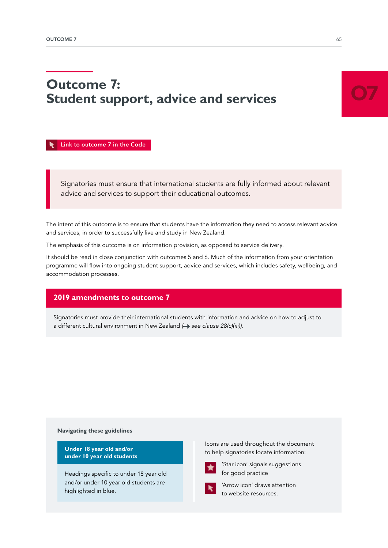# **Outcome 7: Student support, advice and services**

 [Link to outcome 7 in the Code](https://www.nzqa.govt.nz/assets/Providers-and-partners/Code-of-Practice/Code-of-Practice-Amendments-2019.pdf#page=15)

Signatories must ensure that international students are fully informed about relevant advice and services to support their educational outcomes.

The intent of this outcome is to ensure that students have the information they need to access relevant advice and services, in order to successfully live and study in New Zealand.

The emphasis of this outcome is on information provision, as opposed to service delivery.

It should be read in close conjunction with outcomes 5 and 6. Much of the information from your orientation programme will flow into ongoing student support, advice and services, which includes safety, wellbeing, and accommodation processes.

## **2019 amendments to outcome 7**

Signatories must provide their international students with information and advice on how to adjust to a different cultural environment in New Zealand ( $\rightarrow$  see clause 28(c)(iii)).

#### **Navigating these guidelines**

**Under 18 year old and/or under 10 year old students** 

Headings specific to under 18 year old and/or under 10 year old students are highlighted in blue.

Icons are used throughout the document to help signatories locate information:



'Star icon' signals suggestions for good practice



'Arrow icon' draws attention to website resources.

O7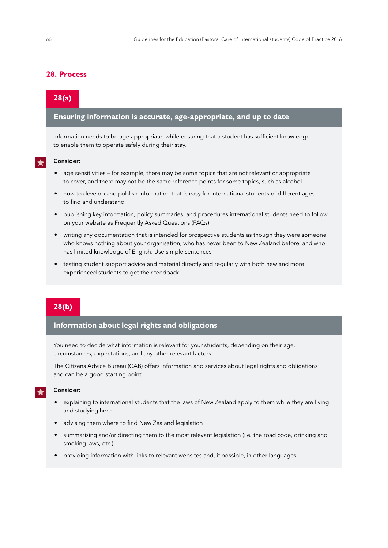## **28. Process**

## **28(a)**

## **Ensuring information is accurate, age-appropriate, and up to date**

Information needs to be age appropriate, while ensuring that a student has sufficient knowledge to enable them to operate safely during their stay.

#### Consider:

- age sensitivities for example, there may be some topics that are not relevant or appropriate to cover, and there may not be the same reference points for some topics, such as alcohol
- how to develop and publish information that is easy for international students of different ages to find and understand
- publishing key information, policy summaries, and procedures international students need to follow on your website as Frequently Asked Questions (FAQs)
- writing any documentation that is intended for prospective students as though they were someone who knows nothing about your organisation, who has never been to New Zealand before, and who has limited knowledge of English. Use simple sentences
- testing student support advice and material directly and regularly with both new and more experienced students to get their feedback.

## **28(b)**

## **Information about legal rights and obligations**

You need to decide what information is relevant for your students, depending on their age, circumstances, expectations, and any other relevant factors.

The Citizens Advice Bureau (CAB) offers information and services about legal rights and obligations and can be a good starting point.

#### Consider:

- explaining to international students that the laws of New Zealand apply to them while they are living and studying here
- advising them where to find New Zealand legislation
- summarising and/or directing them to the most relevant legislation (i.e. the road code, drinking and smoking laws, etc.)
- providing information with links to relevant websites and, if possible, in other languages.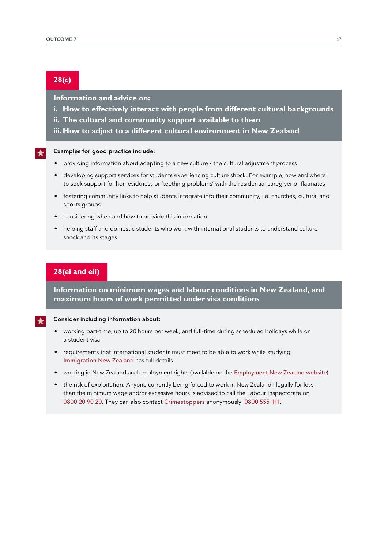## **28(c)**

## **Information and advice on:**

- **i. How to effectively interact with people from different cultural backgrounds**
- **ii. The cultural and community support available to them**
- **iii.How to adjust to a different cultural environment in New Zealand**

#### Examples for good practice include:

- providing information about adapting to a new culture / the cultural adjustment process
- developing support services for students experiencing culture shock. For example, how and where to seek support for homesickness or 'teething problems' with the residential caregiver or flatmates
- fostering community links to help students integrate into their community, i.e. churches, cultural and sports groups
- considering when and how to provide this information
- helping staff and domestic students who work with international students to understand culture shock and its stages.

## **28(ei and eii)**

**Information on minimum wages and labour conditions in New Zealand, and maximum hours of work permitted under visa conditions** 

#### Consider including information about:

- working part-time, up to 20 hours per week, and full-time during scheduled holidays while on a student visa
- requirements that international students must meet to be able to work while studying; [Immigration New](http://www.immigration.govt.nz/migrant/stream/study/canistudyinnewzealand) Zealand has full details
- working in New Zealand and employment rights (available on the [Employment New](https://www.employment.govt.nz/starting-employment/rights-and-responsibilities/minimum-rights-of-employees/) Zealand website).
- the risk of exploitation. Anyone currently being forced to work in New Zealand illegally for less than the minimum wage and/or excessive hours is advised to call the Labour Inspectorate on 0800 20 90 20. They can also contact [Crimestoppers](http://www.crimestoppers-nz.org/) anonymously: 0800 555 111.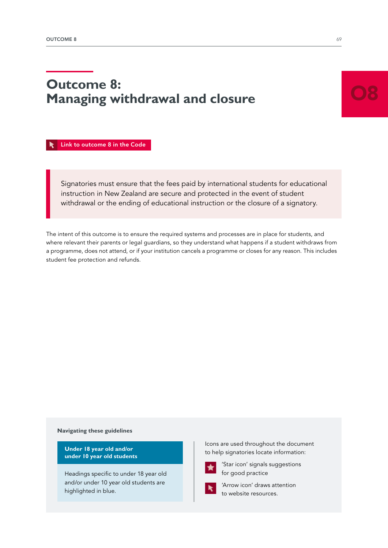# **Outcome 8: Managing withdrawal and closure**

 [Link to outcome 8 in the Code](https://www.nzqa.govt.nz/assets/Providers-and-partners/Code-of-Practice/Code-of-Practice-Amendments-2019.pdf#page=16)

Signatories must ensure that the fees paid by international students for educational instruction in New Zealand are secure and protected in the event of student withdrawal or the ending of educational instruction or the closure of a signatory.

The intent of this outcome is to ensure the required systems and processes are in place for students, and where relevant their parents or legal guardians, so they understand what happens if a student withdraws from a programme, does not attend, or if your institution cancels a programme or closes for any reason. This includes student fee protection and refunds.

#### **Navigating these guidelines**

**Under 18 year old and/or under 10 year old students** 

Headings specific to under 18 year old and/or under 10 year old students are highlighted in blue.

Icons are used throughout the document to help signatories locate information:



'Star icon' signals suggestions for good practice



'Arrow icon' draws attention to website resources.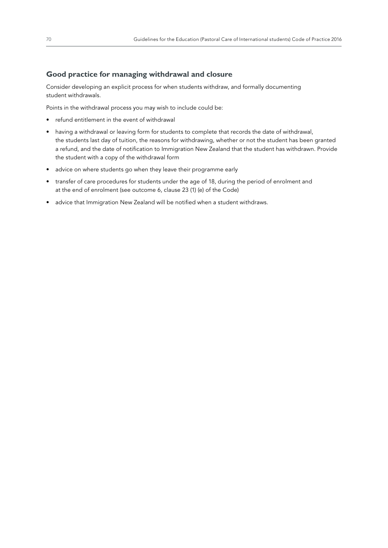## **Good practice for managing withdrawal and closure**

Consider developing an explicit process for when students withdraw, and formally documenting student withdrawals.

Points in the withdrawal process you may wish to include could be:

- refund entitlement in the event of withdrawal
- having a withdrawal or leaving form for students to complete that records the date of withdrawal, the students last day of tuition, the reasons for withdrawing, whether or not the student has been granted a refund, and the date of notification to Immigration New Zealand that the student has withdrawn. Provide the student with a copy of the withdrawal form
- advice on where students go when they leave their programme early
- transfer of care procedures for students under the age of 18, during the period of enrolment and at the end of enrolment (see outcome 6, clause 23 (1) (e) of the Code)
- advice that Immigration New Zealand will be notified when a student withdraws.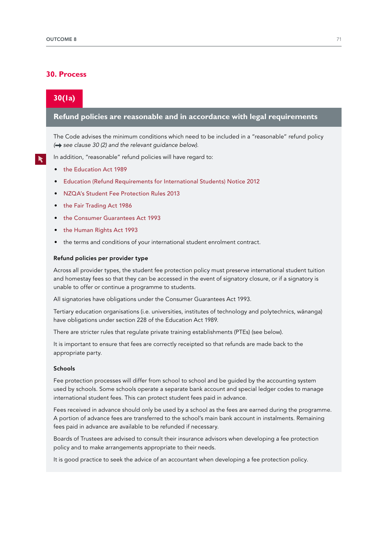### **30. Process**

## **30(1a)**

### **Refund policies are reasonable and in accordance with legal requirements**

The Code advises the minimum conditions which need to be included in a "reasonable" refund policy *( see clause 30 (2) and the relevant guidance below)*.

In addition, "reasonable" refund policies will have regard to:

- t[he Education Act 1989](http://www.legislation.govt.nz/act/public/1989/0080/latest/DLM175959.html)
- [Education \(Refund Requirements for International Students\) Notice 2012](http://www.legislation.govt.nz/regulation/public/2012/0312/latest/whole.html)
- [NZQA's Student Fee Protection Rules 2013](https://www.nzqa.govt.nz/assets/About-us/Our-role/Rules/SFP-Rules.pdf)
- t[he Fair Trading Act 1986](http://www.legislation.govt.nz/act/public/1986/0121/latest/DLM96439.html)
- t[he Consumer Guarantees Act 1993](http://www.legislation.govt.nz/act/public/1993/0091/latest/DLM311053.html)
- t[he Human Rights Act 1993](http://www.legislation.govt.nz/act/public/1993/0082/latest/DLM304212.html)
- the terms and conditions of your international student enrolment contract.

#### Refund policies per provider type

Across all provider types, the student fee protection policy must preserve international student tuition and homestay fees so that they can be accessed in the event of signatory closure, or if a signatory is unable to offer or continue a programme to students.

All signatories have obligations under the Consumer Guarantees Act 1993.

Tertiary education organisations (i.e. universities, institutes of technology and polytechnics, wänanga) have obligations under section 228 of the Education Act 1989.

There are stricter rules that regulate private training establishments (PTEs) (see below).

It is important to ensure that fees are correctly receipted so that refunds are made back to the appropriate party.

#### Schools

Fee protection processes will differ from school to school and be guided by the accounting system used by schools. Some schools operate a separate bank account and special ledger codes to manage international student fees. This can protect student fees paid in advance.

Fees received in advance should only be used by a school as the fees are earned during the programme. A portion of advance fees are transferred to the school's main bank account in instalments. Remaining fees paid in advance are available to be refunded if necessary.

Boards of Trustees are advised to consult their insurance advisors when developing a fee protection policy and to make arrangements appropriate to their needs.

It is good practice to seek the advice of an accountant when developing a fee protection policy.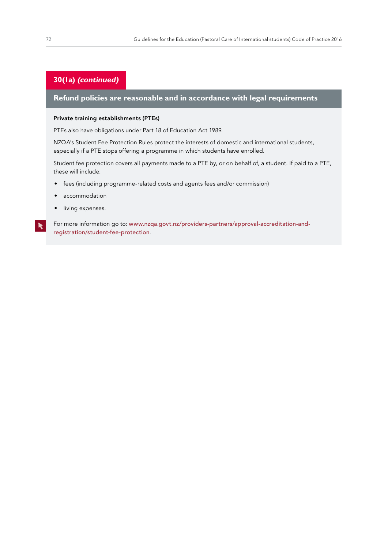## **30(1a) (continued)**

## **Refund policies are reasonable and in accordance with legal requirements**

#### Private training establishments (PTEs)

PTEs also have obligations under Part 18 of Education Act 1989.

NZQA's Student Fee Protection Rules protect the interests of domestic and international students, especially if a PTE stops offering a programme in which students have enrolled.

Student fee protection covers all payments made to a PTE by, or on behalf of, a student. If paid to a PTE, these will include:

- fees (including programme-related costs and agents fees and/or commission)
- accommodation
- living expenses.

For more information go to: [www.nzqa.govt.nz/providers-partners/approval-accreditation-and](http://www.nzqa.govt.nz/providers-partners/approval-accreditation-and-registration/student-fee-protection)[registration/student-fee-protection](http://www.nzqa.govt.nz/providers-partners/approval-accreditation-and-registration/student-fee-protection).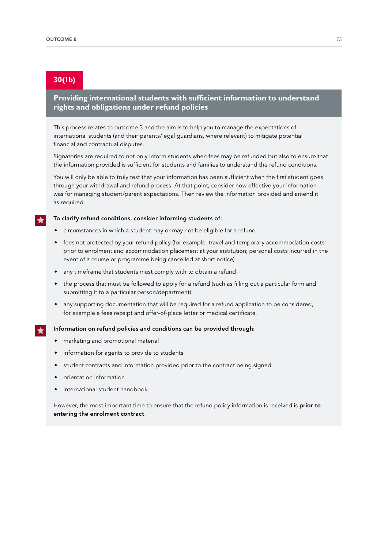## **30(1b)**

## **Providing international students with sufficient information to understand rights and obligations under refund policies**

This process relates to outcome 3 and the aim is to help you to manage the expectations of international students (and their parents/legal guardians, where relevant) to mitigate potential financial and contractual disputes.

Signatories are required to not only inform students when fees may be refunded but also to ensure that the information provided is sufficient for students and families to understand the refund conditions.

You will only be able to truly test that your information has been sufficient when the first student goes through your withdrawal and refund process. At that point, consider how effective your information was for managing student/parent expectations. Then review the information provided and amend it as required.

#### To clarify refund conditions, consider informing students of:

- circumstances in which a student may or may not be eligible for a refund
- fees not protected by your refund policy (for example, travel and temporary accommodation costs prior to enrolment and accommodation placement at your institution; personal costs incurred in the event of a course or programme being cancelled at short notice)
- any timeframe that students must comply with to obtain a refund
- the process that must be followed to apply for a refund (such as filling out a particular form and submitting it to a particular person/department)
- any supporting documentation that will be required for a refund application to be considered, for example a fees receipt and offer-of-place letter or medical certificate.

#### Information on refund policies and conditions can be provided through:

- marketing and promotional material
- information for agents to provide to students
- student contracts and information provided prior to the contract being signed
- orientation information
- international student handbook.

However, the most important time to ensure that the refund policy information is received is **prior to** entering the enrolment contract.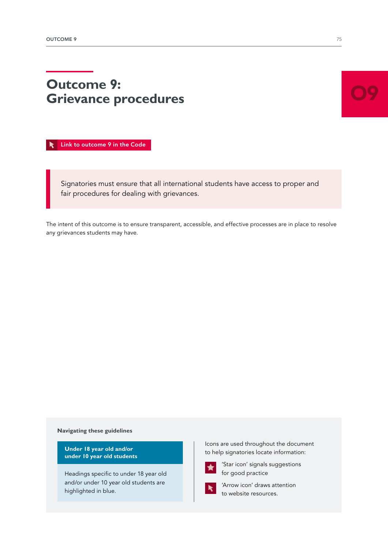# **Outcome 9: Grievance procedures**

 [Link to outcome 9 in the Code](https://www.nzqa.govt.nz/assets/Providers-and-partners/Code-of-Practice/Code-of-Practice-Amendments-2019.pdf#page=16)

Signatories must ensure that all international students have access to proper and fair procedures for dealing with grievances.

The intent of this outcome is to ensure transparent, accessible, and effective processes are in place to resolve any grievances students may have.

**Navigating these guidelines**

**Under 18 year old and/or under 10 year old students** 

Headings specific to under 18 year old and/or under 10 year old students are highlighted in blue.

Icons are used throughout the document to help signatories locate information:



'Star icon' signals suggestions for good practice



'Arrow icon' draws attention to website resources.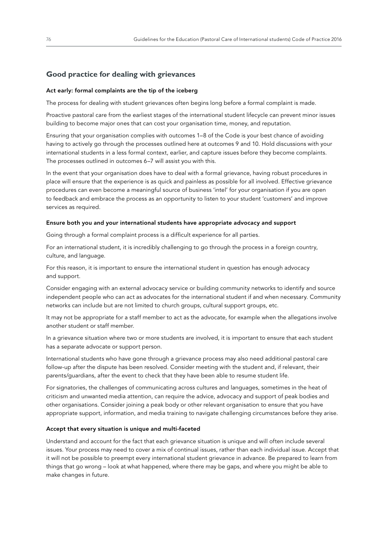## **Good practice for dealing with grievances**

#### Act early: formal complaints are the tip of the iceberg

The process for dealing with student grievances often begins long before a formal complaint is made.

Proactive pastoral care from the earliest stages of the international student lifecycle can prevent minor issues building to become major ones that can cost your organisation time, money, and reputation.

Ensuring that your organisation complies with outcomes 1–8 of the Code is your best chance of avoiding having to actively go through the processes outlined here at outcomes 9 and 10. Hold discussions with your international students in a less formal context, earlier, and capture issues before they become complaints. The processes outlined in outcomes 6–7 will assist you with this.

In the event that your organisation does have to deal with a formal grievance, having robust procedures in place will ensure that the experience is as quick and painless as possible for all involved. Effective grievance procedures can even become a meaningful source of business 'intel' for your organisation if you are open to feedback and embrace the process as an opportunity to listen to your student 'customers' and improve services as required.

#### Ensure both you and your international students have appropriate advocacy and support

Going through a formal complaint process is a difficult experience for all parties.

For an international student, it is incredibly challenging to go through the process in a foreign country, culture, and language.

For this reason, it is important to ensure the international student in question has enough advocacy and support.

Consider engaging with an external advocacy service or building community networks to identify and source independent people who can act as advocates for the international student if and when necessary. Community networks can include but are not limited to church groups, cultural support groups, etc.

It may not be appropriate for a staff member to act as the advocate, for example when the allegations involve another student or staff member.

In a grievance situation where two or more students are involved, it is important to ensure that each student has a separate advocate or support person.

International students who have gone through a grievance process may also need additional pastoral care follow-up after the dispute has been resolved. Consider meeting with the student and, if relevant, their parents/guardians, after the event to check that they have been able to resume student life.

For signatories, the challenges of communicating across cultures and languages, sometimes in the heat of criticism and unwanted media attention, can require the advice, advocacy and support of peak bodies and other organisations. Consider joining a peak body or other relevant organisation to ensure that you have appropriate support, information, and media training to navigate challenging circumstances before they arise.

#### Accept that every situation is unique and multi-faceted

Understand and account for the fact that each grievance situation is unique and will often include several issues. Your process may need to cover a mix of continual issues, rather than each individual issue. Accept that it will not be possible to preempt every international student grievance in advance. Be prepared to learn from things that go wrong – look at what happened, where there may be gaps, and where you might be able to make changes in future.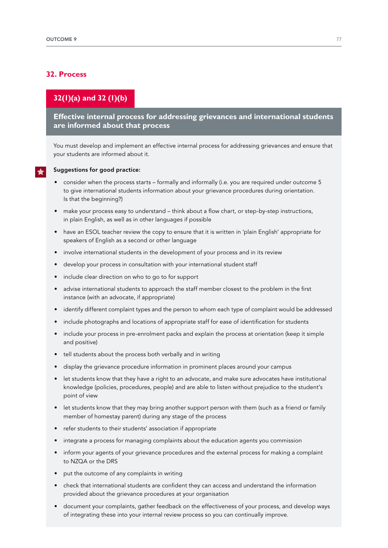## **32. Process**

## **32(1)(a) and 32 (1)(b)**

**Effective internal process for addressing grievances and international students are informed about that process** 

You must develop and implement an effective internal process for addressing grievances and ensure that your students are informed about it.

#### Suggestions for good practice:

- consider when the process starts formally and informally (i.e. you are required under outcome 5 to give international students information about your grievance procedures during orientation. Is that the beginning?)
- make your process easy to understand think about a flow chart, or step-by-step instructions, in plain English, as well as in other languages if possible
- have an ESOL teacher review the copy to ensure that it is written in 'plain English' appropriate for speakers of English as a second or other language
- involve international students in the development of your process and in its review
- develop your process in consultation with your international student staff
- include clear direction on who to go to for support
- advise international students to approach the staff member closest to the problem in the first instance (with an advocate, if appropriate)
- identify different complaint types and the person to whom each type of complaint would be addressed
- include photographs and locations of appropriate staff for ease of identification for students
- include your process in pre-enrolment packs and explain the process at orientation (keep it simple and positive)
- tell students about the process both verbally and in writing
- display the grievance procedure information in prominent places around your campus
- let students know that they have a right to an advocate, and make sure advocates have institutional knowledge (policies, procedures, people) and are able to listen without prejudice to the student's point of view
- let students know that they may bring another support person with them (such as a friend or family member of homestay parent) during any stage of the process
- refer students to their students' association if appropriate
- integrate a process for managing complaints about the education agents you commission
- inform your agents of your grievance procedures and the external process for making a complaint to NZQA or the DRS
- put the outcome of any complaints in writing
- check that international students are confident they can access and understand the information provided about the grievance procedures at your organisation
- document your complaints, gather feedback on the effectiveness of your process, and develop ways of integrating these into your internal review process so you can continually improve.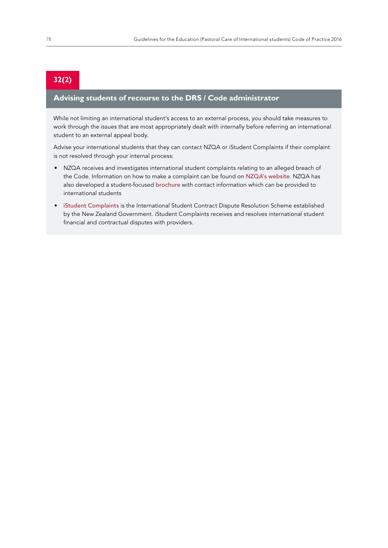# **32(2)**

## **Advising students of recourse to the DRS / Code administrator**

While not limiting an international student's access to an external process, you should take measures to work through the issues that are most appropriately dealt with internally before referring an international student to an external appeal body.

Advise your international students that they can contact NZQA or iStudent Complaints if their complaint is not resolved through your internal process:

- NZQA receives and investigates international student complaints relating to an alleged breach of the Code. Information on how to make a complaint can be found on [NZQA's website](https://www.nzqa.govt.nz/about-us/make-a-complaint/make-a-complaint-about-a-provider/). NZQA has also developed a student-focused [brochure](https://www.nzqa.govt.nz/assets/Providers-and-partners/Code-of-Practice/int-students-make-a-complaint-updated.pdf) with contact information which can be provided to international students
- [iStudent Complaints](https://www.istudent.org.nz/) is the International Student Contract Dispute Resolution Scheme established by the New Zealand Government. iStudent Complaints receives and resolves international student financial and contractual disputes with providers.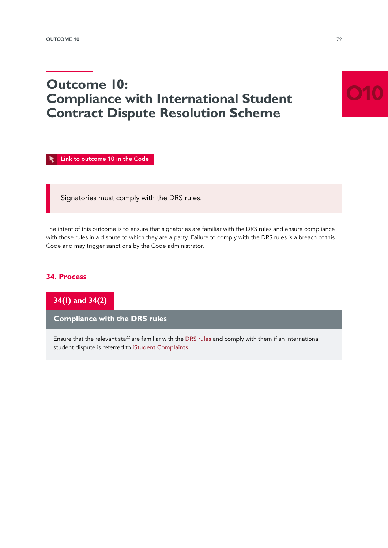# **Outcome 10: Compliance with International Student Contract Dispute Resolution Scheme**

 [Link to outcome 10 in the Code](https://www.nzqa.govt.nz/assets/Providers-and-partners/Code-of-Practice/Code-of-Practice-Amendments-2019.pdf#page=16)

Signatories must comply with the DRS rules.

The intent of this outcome is to ensure that signatories are familiar with the DRS rules and ensure compliance with those rules in a dispute to which they are a party. Failure to comply with the DRS rules is a breach of this Code and may trigger sanctions by the Code administrator.

## **34. Process**

**34(1) and 34(2)**

**Compliance with the DRS rules**

Ensure that the relevant staff are familiar with the [DRS rules](http://www.legislation.govt.nz/regulation/public/2016/0042/latest/DLM6748715.html?src=qs) and comply with them if an international student dispute is referred to [iStudent Complaints](https://www.istudent.org.nz/).

O10